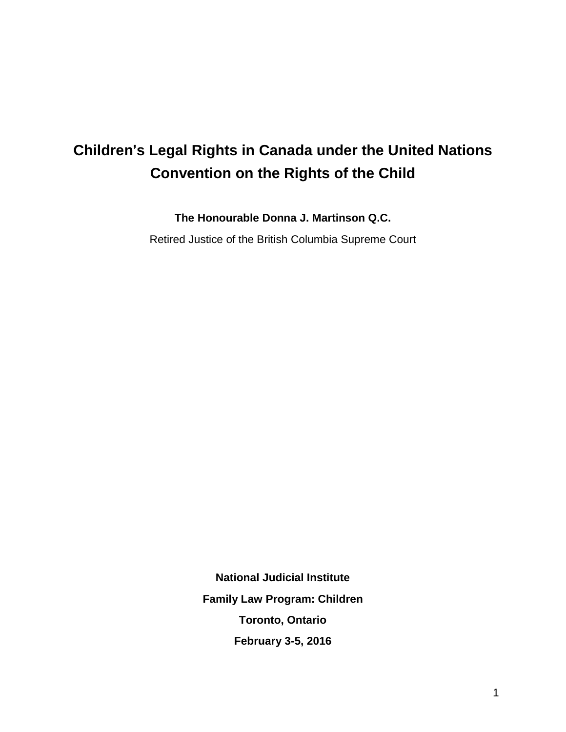# **Children**'**s Legal Rights in Canada under the United Nations Convention on the Rights of the Child**

**The Honourable Donna J. Martinson Q.C.**

Retired Justice of the British Columbia Supreme Court

**National Judicial Institute Family Law Program: Children Toronto, Ontario February 3-5, 2016**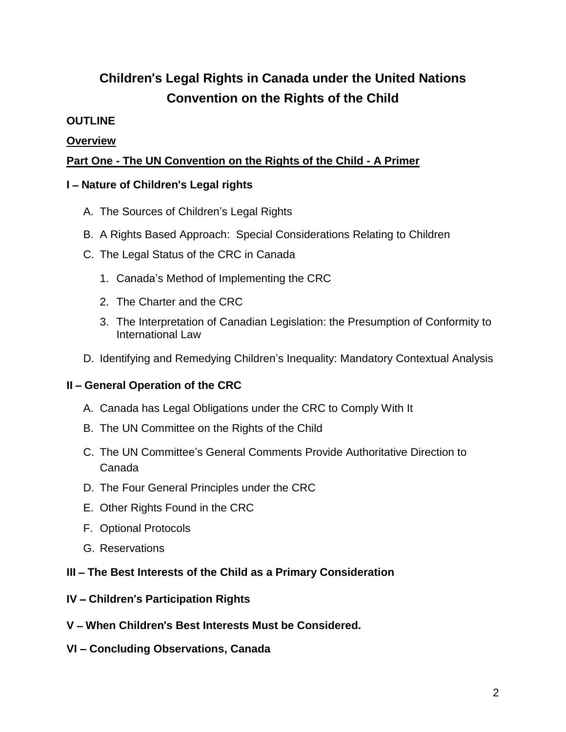# **Children**'**s Legal Rights in Canada under the United Nations Convention on the Rights of the Child**

#### **OUTLINE**

#### **Overview**

#### **Part One - The UN Convention on the Rights of the Child - A Primer**

#### **I** – **Nature of Children**'**s Legal rights**

- A. The Sources of Children's Legal Rights
- B. A Rights Based Approach: Special Considerations Relating to Children
- C. The Legal Status of the CRC in Canada
	- 1. Canada's Method of Implementing the CRC
	- 2. The Charter and the CRC
	- 3. The Interpretation of Canadian Legislation: the Presumption of Conformity to International Law
- D. Identifying and Remedying Children's Inequality: Mandatory Contextual Analysis

#### **II** – **General Operation of the CRC**

- A. Canada has Legal Obligations under the CRC to Comply With It
- B. The UN Committee on the Rights of the Child
- C. The UN Committee's General Comments Provide Authoritative Direction to Canada
- D. The Four General Principles under the CRC
- E. Other Rights Found in the CRC
- F. Optional Protocols
- G. Reservations

#### **III** – **The Best Interests of the Child as a Primary Consideration**

- **IV Children**'**s Participation Rights**
- **V When Children**'**s Best Interests Must be Considered.**
- **VI – Concluding Observations, Canada**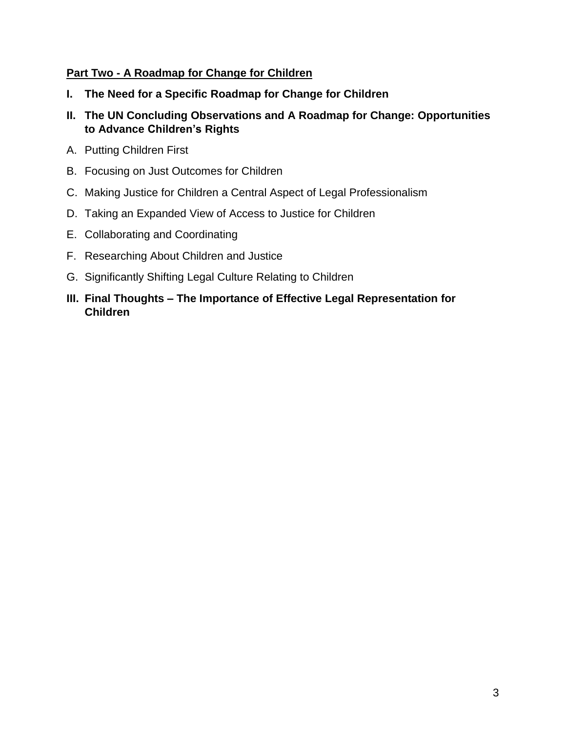#### **Part Two - A Roadmap for Change for Children**

- **I. The Need for a Specific Roadmap for Change for Children**
- **II. The UN Concluding Observations and A Roadmap for Change: Opportunities to Advance Children's Rights**
- A. Putting Children First
- B. Focusing on Just Outcomes for Children
- C. Making Justice for Children a Central Aspect of Legal Professionalism
- D. Taking an Expanded View of Access to Justice for Children
- E. Collaborating and Coordinating
- F. Researching About Children and Justice
- G. Significantly Shifting Legal Culture Relating to Children
- **III. Final Thoughts – The Importance of Effective Legal Representation for Children**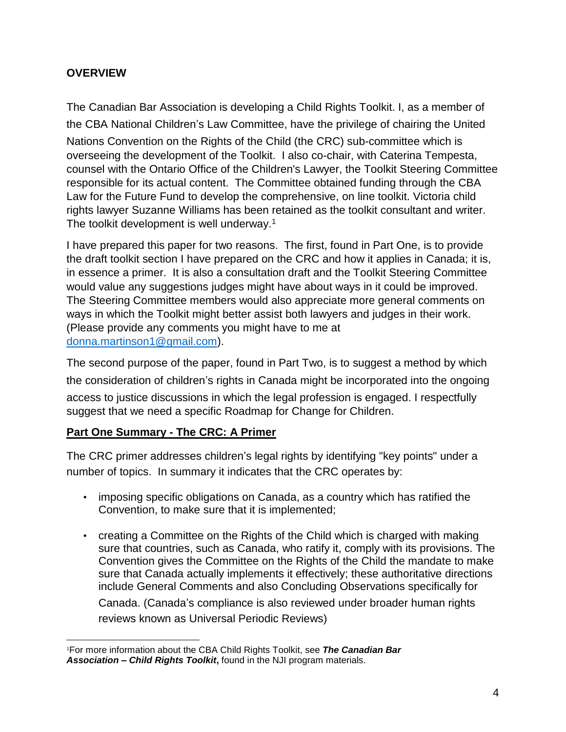## **OVERVIEW**

The Canadian Bar Association is developing a Child Rights Toolkit. I, as a member of the CBA National Children's Law Committee, have the privilege of chairing the United Nations Convention on the Rights of the Child (the CRC) sub-committee which is overseeing the development of the Toolkit. I also co-chair, with Caterina Tempesta, counsel with the Ontario Office of the Children's Lawyer, the Toolkit Steering Committee responsible for its actual content. The Committee obtained funding through the CBA Law for the Future Fund to develop the comprehensive, on line toolkit. Victoria child rights lawyer Suzanne Williams has been retained as the toolkit consultant and writer. The toolkit development is well underway.<sup>1</sup>

I have prepared this paper for two reasons. The first, found in Part One, is to provide the draft toolkit section I have prepared on the CRC and how it applies in Canada; it is, in essence a primer. It is also a consultation draft and the Toolkit Steering Committee would value any suggestions judges might have about ways in it could be improved. The Steering Committee members would also appreciate more general comments on ways in which the Toolkit might better assist both lawyers and judges in their work. (Please provide any comments you might have to me at [donna.martinson1@gmail.com\)](mailto:donna.martinson1@gmail.com).

The second purpose of the paper, found in Part Two, is to suggest a method by which the consideration of children's rights in Canada might be incorporated into the ongoing access to justice discussions in which the legal profession is engaged. I respectfully suggest that we need a specific Roadmap for Change for Children.

## **Part One Summary - The CRC: A Primer**

The CRC primer addresses children's legal rights by identifying "key points" under a number of topics. In summary it indicates that the CRC operates by:

- imposing specific obligations on Canada, as a country which has ratified the Convention, to make sure that it is implemented;
- creating a Committee on the Rights of the Child which is charged with making sure that countries, such as Canada, who ratify it, comply with its provisions. The Convention gives the Committee on the Rights of the Child the mandate to make sure that Canada actually implements it effectively; these authoritative directions include General Comments and also Concluding Observations specifically for

Canada. (Canada's compliance is also reviewed under broader human rights reviews known as Universal Periodic Reviews)

 $\overline{a}$ <sup>1</sup>For more information about the CBA Child Rights Toolkit, see *The Canadian Bar Association – Child Rights Toolkit***,** found in the NJI program materials.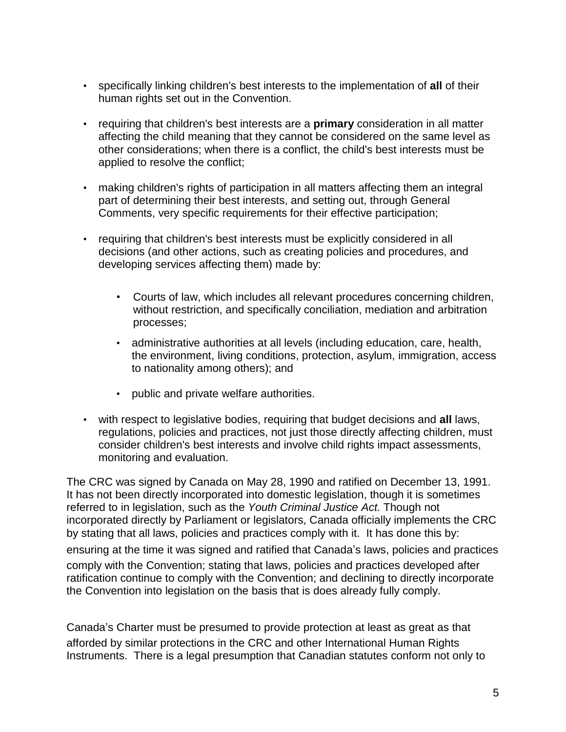- specifically linking children's best interests to the implementation of **all** of their human rights set out in the Convention.
- requiring that children's best interests are a **primary** consideration in all matter affecting the child meaning that they cannot be considered on the same level as other considerations; when there is a conflict, the child's best interests must be applied to resolve the conflict;
- making children's rights of participation in all matters affecting them an integral part of determining their best interests, and setting out, through General Comments, very specific requirements for their effective participation;
- requiring that children's best interests must be explicitly considered in all decisions (and other actions, such as creating policies and procedures, and developing services affecting them) made by:
	- Courts of law, which includes all relevant procedures concerning children, without restriction, and specifically conciliation, mediation and arbitration processes;
	- administrative authorities at all levels (including education, care, health, the environment, living conditions, protection, asylum, immigration, access to nationality among others); and
	- public and private welfare authorities.
- with respect to legislative bodies, requiring that budget decisions and **all** laws, regulations, policies and practices, not just those directly affecting children, must consider children's best interests and involve child rights impact assessments, monitoring and evaluation.

The CRC was signed by Canada on May 28, 1990 and ratified on December 13, 1991. It has not been directly incorporated into domestic legislation, though it is sometimes referred to in legislation, such as the *Youth Criminal Justice Act.* Though not incorporated directly by Parliament or legislators, Canada officially implements the CRC by stating that all laws, policies and practices comply with it. It has done this by:

ensuring at the time it was signed and ratified that Canada's laws, policies and practices comply with the Convention; stating that laws, policies and practices developed after ratification continue to comply with the Convention; and declining to directly incorporate the Convention into legislation on the basis that is does already fully comply.

Canada's Charter must be presumed to provide protection at least as great as that afforded by similar protections in the CRC and other International Human Rights Instruments. There is a legal presumption that Canadian statutes conform not only to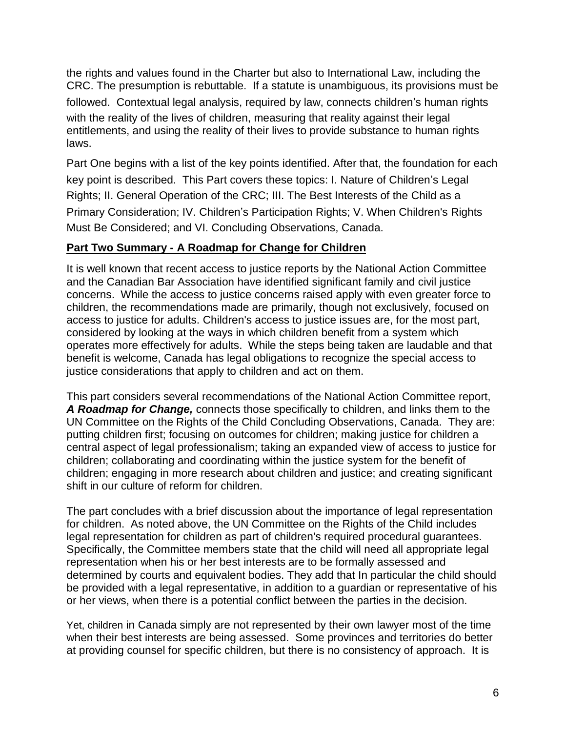the rights and values found in the Charter but also to International Law, including the CRC. The presumption is rebuttable. If a statute is unambiguous, its provisions must be followed. Contextual legal analysis, required by law, connects children's human rights with the reality of the lives of children, measuring that reality against their legal entitlements, and using the reality of their lives to provide substance to human rights laws.

Part One begins with a list of the key points identified. After that, the foundation for each key point is described. This Part covers these topics: I. Nature of Children's Legal Rights; II. General Operation of the CRC; III. The Best Interests of the Child as a Primary Consideration; IV. Children's Participation Rights; V. When Children's Rights Must Be Considered; and VI. Concluding Observations, Canada.

#### **Part Two Summary - A Roadmap for Change for Children**

It is well known that recent access to justice reports by the National Action Committee and the Canadian Bar Association have identified significant family and civil justice concerns. While the access to justice concerns raised apply with even greater force to children, the recommendations made are primarily, though not exclusively, focused on access to justice for adults. Children's access to justice issues are, for the most part, considered by looking at the ways in which children benefit from a system which operates more effectively for adults. While the steps being taken are laudable and that benefit is welcome, Canada has legal obligations to recognize the special access to justice considerations that apply to children and act on them.

This part considers several recommendations of the National Action Committee report, *A Roadmap for Change,* connects those specifically to children, and links them to the UN Committee on the Rights of the Child Concluding Observations, Canada. They are: putting children first; focusing on outcomes for children; making justice for children a central aspect of legal professionalism; taking an expanded view of access to justice for children; collaborating and coordinating within the justice system for the benefit of children; engaging in more research about children and justice; and creating significant shift in our culture of reform for children.

The part concludes with a brief discussion about the importance of legal representation for children. As noted above, the UN Committee on the Rights of the Child includes legal representation for children as part of children's required procedural guarantees. Specifically, the Committee members state that the child will need all appropriate legal representation when his or her best interests are to be formally assessed and determined by courts and equivalent bodies. They add that In particular the child should be provided with a legal representative, in addition to a guardian or representative of his or her views, when there is a potential conflict between the parties in the decision.

Yet, children in Canada simply are not represented by their own lawyer most of the time when their best interests are being assessed. Some provinces and territories do better at providing counsel for specific children, but there is no consistency of approach. It is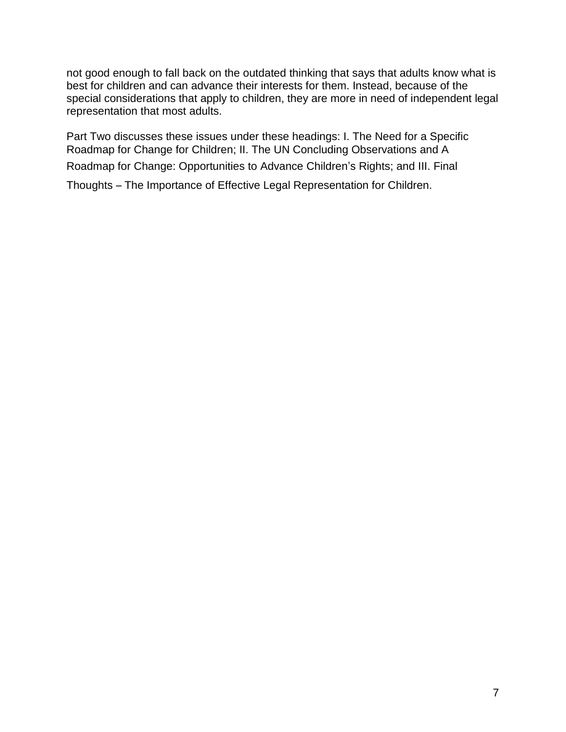not good enough to fall back on the outdated thinking that says that adults know what is best for children and can advance their interests for them. Instead, because of the special considerations that apply to children, they are more in need of independent legal representation that most adults.

Part Two discusses these issues under these headings: I. The Need for a Specific Roadmap for Change for Children; II. The UN Concluding Observations and A Roadmap for Change: Opportunities to Advance Children's Rights; and III. Final

Thoughts – The Importance of Effective Legal Representation for Children.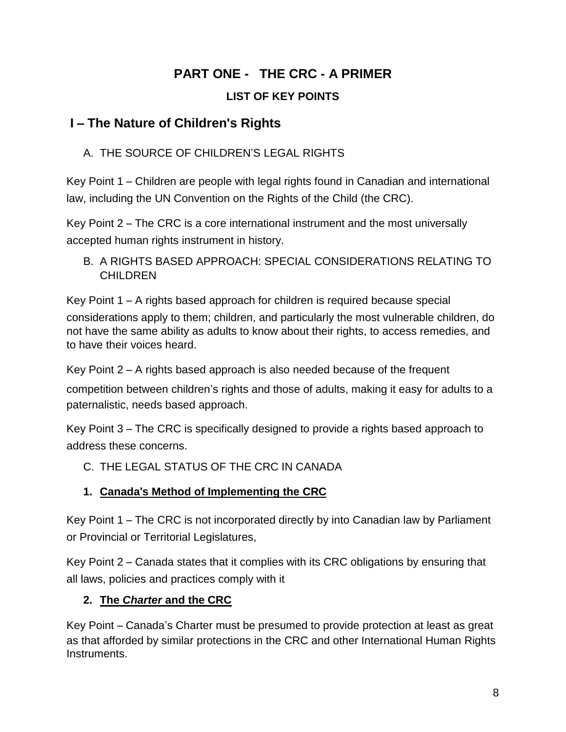# **PART ONE - THE CRC - A PRIMER**

# **LIST OF KEY POINTS**

# **I** – **The Nature of Children's Rights**

A. THE SOURCE OF CHILDREN'S LEGAL RIGHTS

Key Point 1 – Children are people with legal rights found in Canadian and international law, including the UN Convention on the Rights of the Child (the CRC).

Key Point 2 – The CRC is a core international instrument and the most universally accepted human rights instrument in history.

B. A RIGHTS BASED APPROACH: SPECIAL CONSIDERATIONS RELATING TO **CHILDREN** 

Key Point 1 – A rights based approach for children is required because special considerations apply to them; children, and particularly the most vulnerable children, do not have the same ability as adults to know about their rights, to access remedies, and to have their voices heard.

Key Point 2 – A rights based approach is also needed because of the frequent

competition between children's rights and those of adults, making it easy for adults to a paternalistic, needs based approach.

Key Point 3 – The CRC is specifically designed to provide a rights based approach to address these concerns.

# C. THE LEGAL STATUS OF THE CRC IN CANADA

# **1. Canada**'**s Method of Implementing the CRC**

Key Point 1 – The CRC is not incorporated directly by into Canadian law by Parliament or Provincial or Territorial Legislatures,

Key Point 2 – Canada states that it complies with its CRC obligations by ensuring that all laws, policies and practices comply with it

# **2. The** *Charter* **and the CRC**

Key Point – Canada's Charter must be presumed to provide protection at least as great as that afforded by similar protections in the CRC and other International Human Rights Instruments.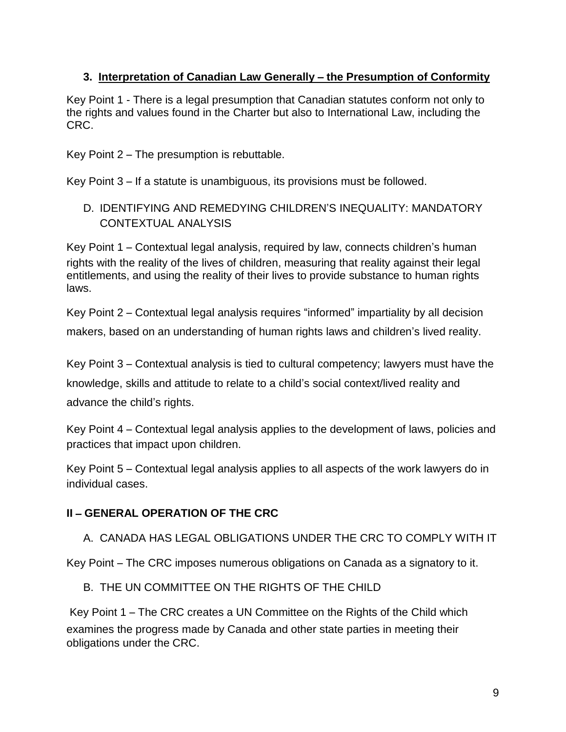#### **3. Interpretation of Canadian Law Generally** – **the Presumption of Conformity**

Key Point 1 - There is a legal presumption that Canadian statutes conform not only to the rights and values found in the Charter but also to International Law, including the CRC.

Key Point 2 – The presumption is rebuttable.

Key Point 3 – If a statute is unambiguous, its provisions must be followed.

## D. IDENTIFYING AND REMEDYING CHILDREN'S INEQUALITY: MANDATORY CONTEXTUAL ANALYSIS

Key Point 1 – Contextual legal analysis, required by law, connects children's human rights with the reality of the lives of children, measuring that reality against their legal entitlements, and using the reality of their lives to provide substance to human rights laws.

Key Point 2 – Contextual legal analysis requires "informed" impartiality by all decision makers, based on an understanding of human rights laws and children's lived reality.

Key Point 3 – Contextual analysis is tied to cultural competency; lawyers must have the knowledge, skills and attitude to relate to a child's social context/lived reality and advance the child's rights.

Key Point 4 – Contextual legal analysis applies to the development of laws, policies and practices that impact upon children.

Key Point 5 – Contextual legal analysis applies to all aspects of the work lawyers do in individual cases.

## **II** – **GENERAL OPERATION OF THE CRC**

## A. CANADA HAS LEGAL OBLIGATIONS UNDER THE CRC TO COMPLY WITH IT

Key Point – The CRC imposes numerous obligations on Canada as a signatory to it.

#### B. THE UN COMMITTEE ON THE RIGHTS OF THE CHILD

Key Point 1 – The CRC creates a UN Committee on the Rights of the Child which examines the progress made by Canada and other state parties in meeting their obligations under the CRC.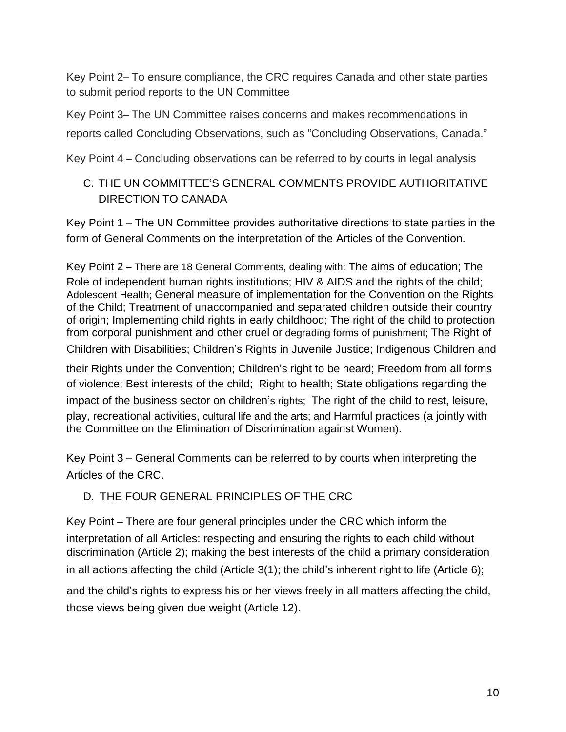Key Point 2– To ensure compliance, the CRC requires Canada and other state parties to submit period reports to the UN Committee

Key Point 3– The UN Committee raises concerns and makes recommendations in reports called Concluding Observations, such as "Concluding Observations, Canada."

Key Point 4 – Concluding observations can be referred to by courts in legal analysis

## C. THE UN COMMITTEE'S GENERAL COMMENTS PROVIDE AUTHORITATIVE DIRECTION TO CANADA

Key Point 1 – The UN Committee provides authoritative directions to state parties in the form of General Comments on the interpretation of the Articles of the Convention.

Key Point 2 – There are 18 General Comments, dealing with: The aims of education; The Role of independent human rights institutions; HIV & AIDS and the rights of the child; Adolescent Health; General measure of implementation for the Convention on the Rights of the Child; Treatment of unaccompanied and separated children outside their country of origin; Implementing child rights in early childhood; The right of the child to protection from corporal punishment and other cruel or degrading forms of punishment; The Right of Children with Disabilities; Children's Rights in Juvenile Justice; Indigenous Children and their Rights under the Convention; Children's right to be heard; Freedom from all forms of violence; Best interests of the child; Right to health; State obligations regarding the impact of the business sector on children's rights; The right of the child to rest, leisure, play, recreational activities, cultural life and the arts; and Harmful practices (a jointly with the Committee on the Elimination of Discrimination against Women).

Key Point 3 – General Comments can be referred to by courts when interpreting the Articles of the CRC.

#### D. THE FOUR GENERAL PRINCIPLES OF THE CRC

Key Point – There are four general principles under the CRC which inform the interpretation of all Articles: respecting and ensuring the rights to each child without discrimination (Article 2); making the best interests of the child a primary consideration in all actions affecting the child (Article 3(1); the child's inherent right to life (Article 6); and the child's rights to express his or her views freely in all matters affecting the child, those views being given due weight (Article 12).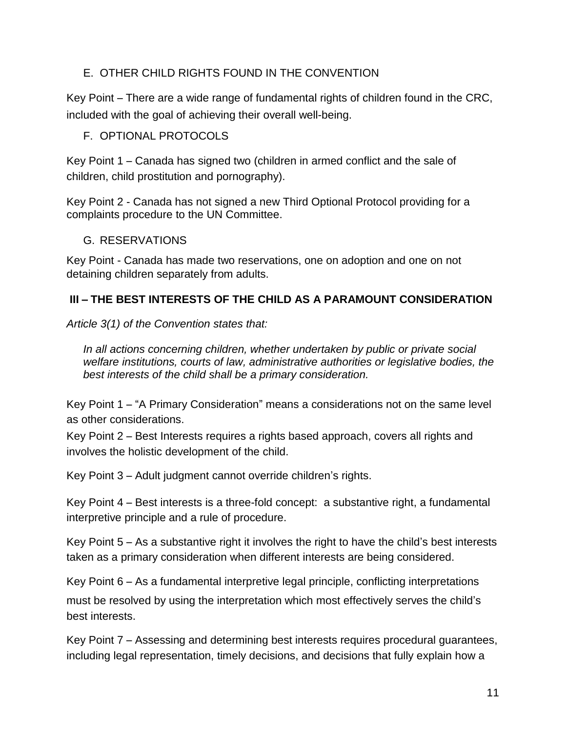#### E. OTHER CHILD RIGHTS FOUND IN THE CONVENTION

Key Point – There are a wide range of fundamental rights of children found in the CRC, included with the goal of achieving their overall well-being.

F. OPTIONAL PROTOCOLS

Key Point 1 – Canada has signed two (children in armed conflict and the sale of children, child prostitution and pornography).

Key Point 2 - Canada has not signed a new Third Optional Protocol providing for a complaints procedure to the UN Committee.

G. RESERVATIONS

Key Point - Canada has made two reservations, one on adoption and one on not detaining children separately from adults.

## **III** – **THE BEST INTERESTS OF THE CHILD AS A PARAMOUNT CONSIDERATION**

*Article 3(1) of the Convention states that:*

*In all actions concerning children, whether undertaken by public or private social welfare institutions, courts of law, administrative authorities or legislative bodies, the best interests of the child shall be a primary consideration.*

Key Point 1 – "A Primary Consideration" means a considerations not on the same level as other considerations.

Key Point 2 – Best Interests requires a rights based approach, covers all rights and involves the holistic development of the child.

Key Point 3 – Adult judgment cannot override children's rights.

Key Point 4 – Best interests is a three-fold concept: a substantive right, a fundamental interpretive principle and a rule of procedure.

Key Point 5 – As a substantive right it involves the right to have the child's best interests taken as a primary consideration when different interests are being considered.

Key Point 6 – As a fundamental interpretive legal principle, conflicting interpretations

must be resolved by using the interpretation which most effectively serves the child's best interests.

Key Point 7 – Assessing and determining best interests requires procedural guarantees, including legal representation, timely decisions, and decisions that fully explain how a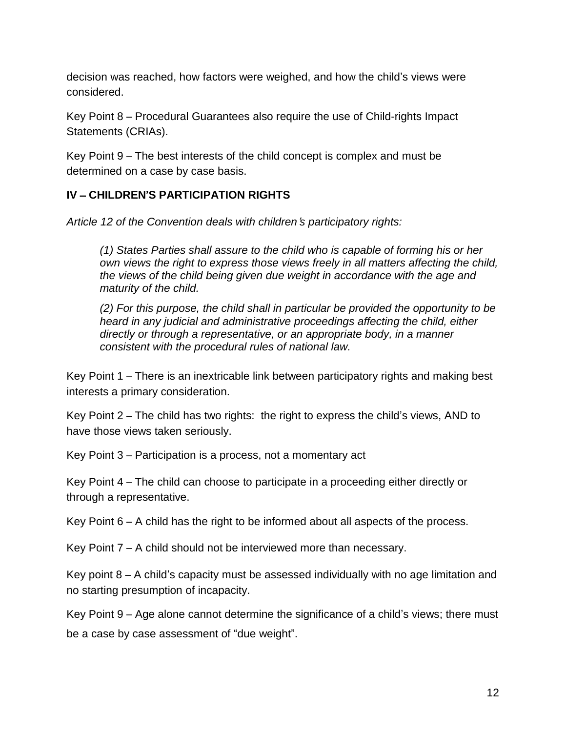decision was reached, how factors were weighed, and how the child's views were considered.

Key Point 8 – Procedural Guarantees also require the use of Child-rights Impact Statements (CRIAs).

Key Point 9 – The best interests of the child concept is complex and must be determined on a case by case basis.

#### **IV** – **CHILDREN**'**S PARTICIPATION RIGHTS**

*Article 12 of the Convention deals with children*'*s participatory rights:*

*(1) States Parties shall assure to the child who is capable of forming his or her own views the right to express those views freely in all matters affecting the child, the views of the child being given due weight in accordance with the age and maturity of the child.*

*(2) For this purpose, the child shall in particular be provided the opportunity to be heard in any judicial and administrative proceedings affecting the child, either directly or through a representative, or an appropriate body, in a manner consistent with the procedural rules of national law.*

Key Point 1 – There is an inextricable link between participatory rights and making best interests a primary consideration.

Key Point  $2$  – The child has two rights: the right to express the child's views, AND to have those views taken seriously.

Key Point 3 – Participation is a process, not a momentary act

Key Point 4 – The child can choose to participate in a proceeding either directly or through a representative.

Key Point 6 – A child has the right to be informed about all aspects of the process.

Key Point 7 – A child should not be interviewed more than necessary.

Key point 8 – A child's capacity must be assessed individually with no age limitation and no starting presumption of incapacity.

Key Point 9 – Age alone cannot determine the significance of a child's views; there must be a case by case assessment of "due weight".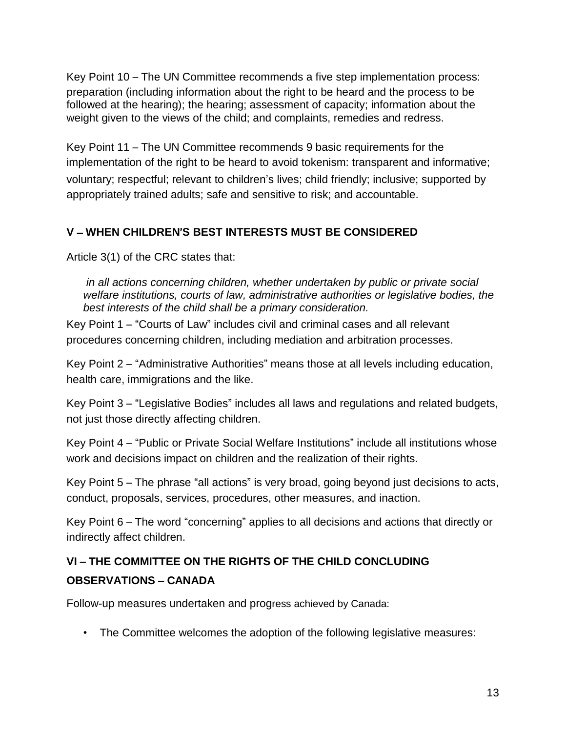Key Point 10 – The UN Committee recommends a five step implementation process: preparation (including information about the right to be heard and the process to be followed at the hearing); the hearing; assessment of capacity; information about the weight given to the views of the child; and complaints, remedies and redress.

Key Point 11 – The UN Committee recommends 9 basic requirements for the implementation of the right to be heard to avoid tokenism: transparent and informative; voluntary; respectful; relevant to children's lives; child friendly; inclusive; supported by appropriately trained adults; safe and sensitive to risk; and accountable.

#### **V** – **WHEN CHILDREN**'**S BEST INTERESTS MUST BE CONSIDERED**

Article 3(1) of the CRC states that:

*in all actions concerning children, whether undertaken by public or private social welfare institutions, courts of law, administrative authorities or legislative bodies, the best interests of the child shall be a primary consideration.* 

Key Point 1 – "Courts of Law" includes civil and criminal cases and all relevant procedures concerning children, including mediation and arbitration processes.

Key Point 2 – "Administrative Authorities" means those at all levels including education, health care, immigrations and the like.

Key Point 3 – "Legislative Bodies" includes all laws and regulations and related budgets, not just those directly affecting children.

Key Point 4 – "Public or Private Social Welfare Institutions" include all institutions whose work and decisions impact on children and the realization of their rights.

Key Point 5 – The phrase "all actions" is very broad, going beyond just decisions to acts, conduct, proposals, services, procedures, other measures, and inaction.

Key Point 6 – The word "concerning" applies to all decisions and actions that directly or indirectly affect children.

# **VI** – **THE COMMITTEE ON THE RIGHTS OF THE CHILD CONCLUDING OBSERVATIONS** – **CANADA**

Follow-up measures undertaken and progress achieved by Canada:

• The Committee welcomes the adoption of the following legislative measures: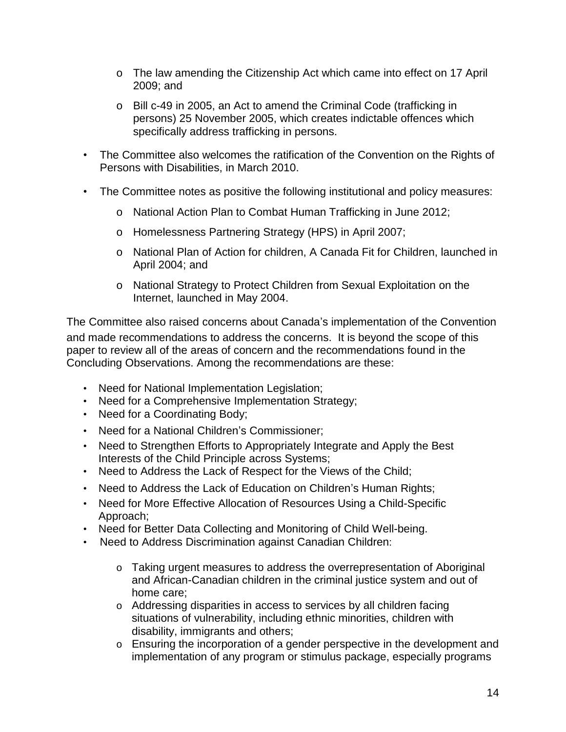- o The law amending the Citizenship Act which came into effect on 17 April 2009; and
- o Bill c-49 in 2005, an Act to amend the Criminal Code (trafficking in persons) 25 November 2005, which creates indictable offences which specifically address trafficking in persons.
- The Committee also welcomes the ratification of the Convention on the Rights of Persons with Disabilities, in March 2010.
- The Committee notes as positive the following institutional and policy measures:
	- o National Action Plan to Combat Human Trafficking in June 2012;
	- o Homelessness Partnering Strategy (HPS) in April 2007;
	- o National Plan of Action for children, A Canada Fit for Children, launched in April 2004; and
	- o National Strategy to Protect Children from Sexual Exploitation on the Internet, launched in May 2004.

The Committee also raised concerns about Canada's implementation of the Convention and made recommendations to address the concerns. It is beyond the scope of this paper to review all of the areas of concern and the recommendations found in the Concluding Observations. Among the recommendations are these:

- Need for National Implementation Legislation;
- Need for a Comprehensive Implementation Strategy;
- Need for a Coordinating Body;
- Need for a National Children's Commissioner;
- Need to Strengthen Efforts to Appropriately Integrate and Apply the Best Interests of the Child Principle across Systems;
- Need to Address the Lack of Respect for the Views of the Child;
- Need to Address the Lack of Education on Children's Human Rights;
- Need for More Effective Allocation of Resources Using a Child-Specific Approach;
- Need for Better Data Collecting and Monitoring of Child Well-being.
- Need to Address Discrimination against Canadian Children:
	- o Taking urgent measures to address the overrepresentation of Aboriginal and African-Canadian children in the criminal justice system and out of home care;
	- o Addressing disparities in access to services by all children facing situations of vulnerability, including ethnic minorities, children with disability, immigrants and others;
	- o Ensuring the incorporation of a gender perspective in the development and implementation of any program or stimulus package, especially programs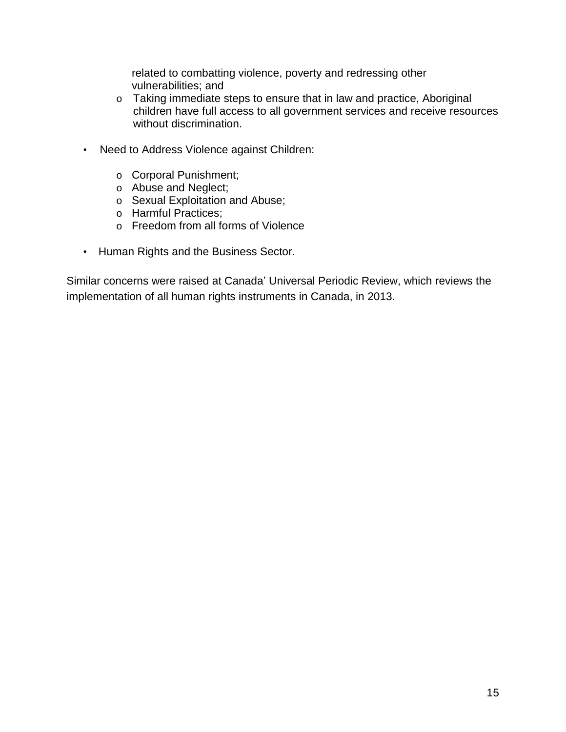related to combatting violence, poverty and redressing other vulnerabilities; and

- o Taking immediate steps to ensure that in law and practice, Aboriginal children have full access to all government services and receive resources without discrimination.
- Need to Address Violence against Children:
	- o Corporal Punishment;
	- o Abuse and Neglect;
	- o Sexual Exploitation and Abuse;
	- o Harmful Practices;
	- o Freedom from all forms of Violence
- Human Rights and the Business Sector.

Similar concerns were raised at Canada' Universal Periodic Review, which reviews the implementation of all human rights instruments in Canada, in 2013.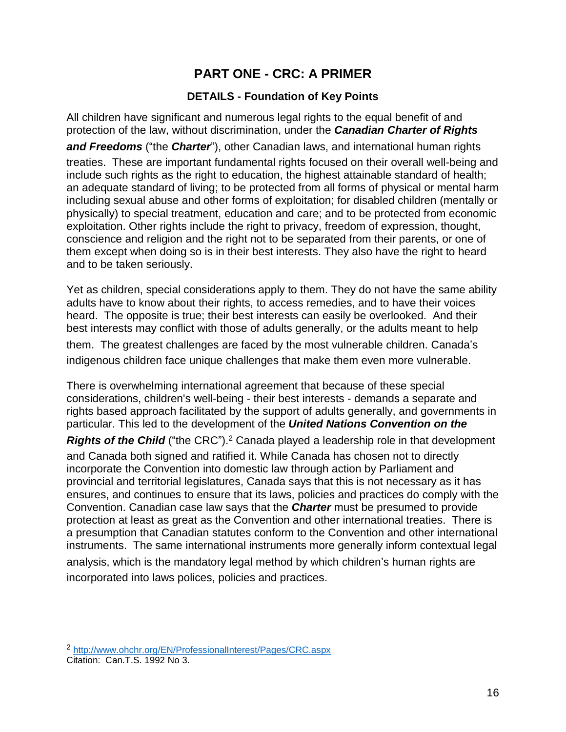# **PART ONE - CRC: A PRIMER**

#### **DETAILS - Foundation of Key Points**

All children have significant and numerous legal rights to the equal benefit of and protection of the law, without discrimination, under the *Canadian Charter of Rights*

*and Freedoms* ("the *Charter*"), other Canadian laws, and international human rights

treaties. These are important fundamental rights focused on their overall well-being and include such rights as the right to education, the highest attainable standard of health; an adequate standard of living; to be protected from all forms of physical or mental harm including sexual abuse and other forms of exploitation; for disabled children (mentally or physically) to special treatment, education and care; and to be protected from economic exploitation. Other rights include the right to privacy, freedom of expression, thought, conscience and religion and the right not to be separated from their parents, or one of them except when doing so is in their best interests. They also have the right to heard and to be taken seriously.

Yet as children, special considerations apply to them. They do not have the same ability adults have to know about their rights, to access remedies, and to have their voices heard. The opposite is true; their best interests can easily be overlooked. And their best interests may conflict with those of adults generally, or the adults meant to help

them. The greatest challenges are faced by the most vulnerable children. Canada's indigenous children face unique challenges that make them even more vulnerable.

There is overwhelming international agreement that because of these special considerations, children's well-being - their best interests - demands a separate and rights based approach facilitated by the support of adults generally, and governments in particular. This led to the development of the *United Nations Convention on the*

**Rights of the Child** ("the CRC").<sup>2</sup> Canada played a leadership role in that development and Canada both signed and ratified it. While Canada has chosen not to directly incorporate the Convention into domestic law through action by Parliament and provincial and territorial legislatures, Canada says that this is not necessary as it has ensures, and continues to ensure that its laws, policies and practices do comply with the Convention. Canadian case law says that the *Charter* must be presumed to provide protection at least as great as the Convention and other international treaties. There is a presumption that Canadian statutes conform to the Convention and other international instruments. The same international instruments more generally inform contextual legal analysis, which is the mandatory legal method by which children's human rights are incorporated into laws polices, policies and practices.

 $\overline{\phantom{a}}$ <sup>2</sup> <http://www.ohchr.org/EN/ProfessionalInterest/Pages/CRC.aspx>

Citation: Can.T.S. 1992 No 3.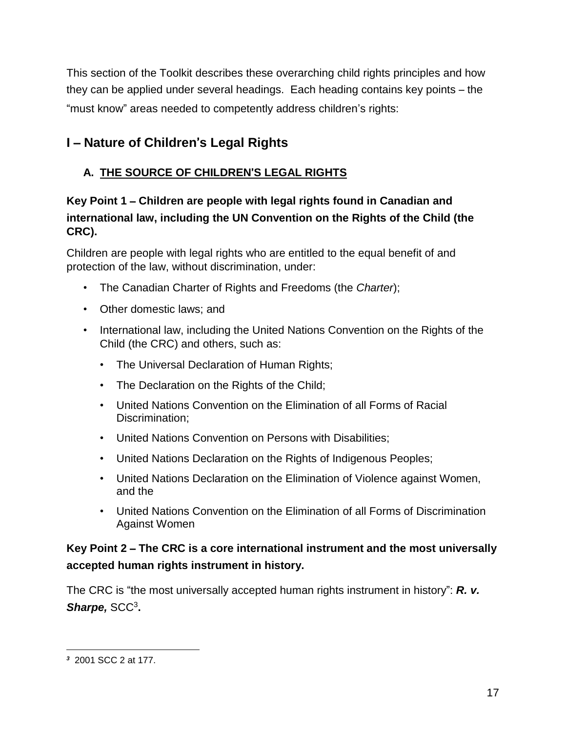This section of the Toolkit describes these overarching child rights principles and how they can be applied under several headings. Each heading contains key points – the "must know" areas needed to competently address children's rights:

# **I** – **Nature of Children**'**s Legal Rights**

# **A. THE SOURCE OF CHILDREN**'**S LEGAL RIGHTS**

# **Key Point 1** – **Children are people with legal rights found in Canadian and international law, including the UN Convention on the Rights of the Child (the CRC).**

Children are people with legal rights who are entitled to the equal benefit of and protection of the law, without discrimination, under:

- The Canadian Charter of Rights and Freedoms (the *Charter*);
- Other domestic laws; and
- International law, including the United Nations Convention on the Rights of the Child (the CRC) and others, such as:
	- The Universal Declaration of Human Rights;
	- The Declaration on the Rights of the Child;
	- United Nations Convention on the Elimination of all Forms of Racial Discrimination;
	- United Nations Convention on Persons with Disabilities;
	- United Nations Declaration on the Rights of Indigenous Peoples;
	- United Nations Declaration on the Elimination of Violence against Women, and the
	- United Nations Convention on the Elimination of all Forms of Discrimination Against Women

# **Key Point 2** – **The CRC is a core international instrument and the most universally accepted human rights instrument in history.**

The CRC is "the most universally accepted human rights instrument in history": *R. v.* Sharpe, SCC<sup>3</sup>.

 $\overline{a}$ *<sup>3</sup>* 2001 SCC 2 at 177.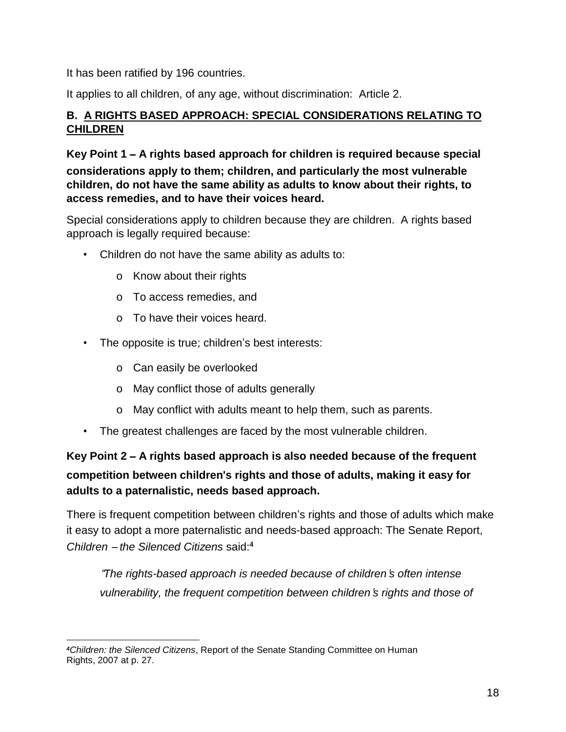It has been ratified by 196 countries.

It applies to all children, of any age, without discrimination: Article 2.

## **B. A RIGHTS BASED APPROACH: SPECIAL CONSIDERATIONS RELATING TO CHILDREN**

**Key Point 1** – **A rights based approach for children is required because special considerations apply to them; children, and particularly the most vulnerable children, do not have the same ability as adults to know about their rights, to access remedies, and to have their voices heard.**

Special considerations apply to children because they are children. A rights based approach is legally required because:

- Children do not have the same ability as adults to:
	- o Know about their rights
	- o To access remedies, and
	- o To have their voices heard.
- The opposite is true; children's best interests:
	- o Can easily be overlooked
	- o May conflict those of adults generally
	- o May conflict with adults meant to help them, such as parents.
- The greatest challenges are faced by the most vulnerable children.

**Key Point 2** – **A rights based approach is also needed because of the frequent competition between children**'**s rights and those of adults, making it easy for adults to a paternalistic, needs based approach.**

There is frequent competition between children's rights and those of adults which make it easy to adopt a more paternalistic and needs-based approach: The Senate Report, *Children* – *the Silenced Citizens* said:**<sup>4</sup>**

"*The rights-based approach is needed because of children*'*s often intense vulnerability, the frequent competition between children*'*s rights and those of*

 $\overline{a}$ *<sup>4</sup>Children: the Silenced Citizens*, Report of the Senate Standing Committee on Human Rights, 2007 at p. 27.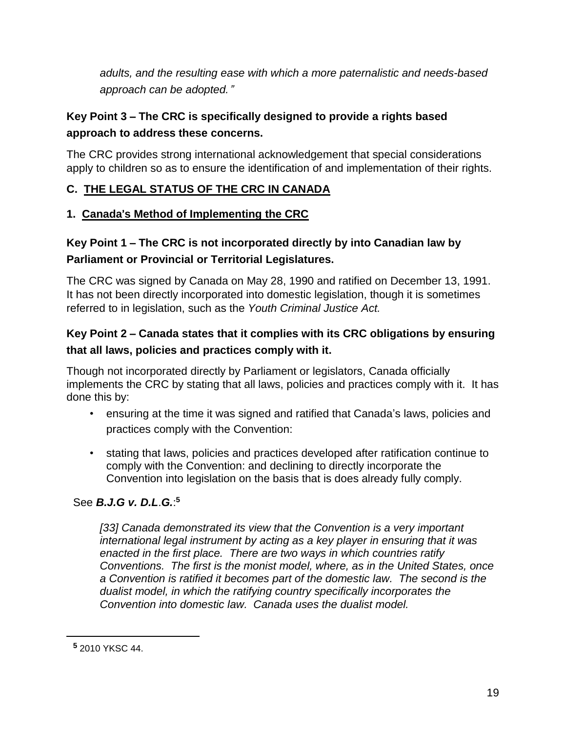*adults, and the resulting ease with which a more paternalistic and needs-based approach can be adopted.*"

# **Key Point 3** – **The CRC is specifically designed to provide a rights based approach to address these concerns.**

The CRC provides strong international acknowledgement that special considerations apply to children so as to ensure the identification of and implementation of their rights.

# **C. THE LEGAL STATUS OF THE CRC IN CANADA**

## **1. Canada**'**s Method of Implementing the CRC**

# **Key Point 1** – **The CRC is not incorporated directly by into Canadian law by Parliament or Provincial or Territorial Legislatures.**

The CRC was signed by Canada on May 28, 1990 and ratified on December 13, 1991. It has not been directly incorporated into domestic legislation, though it is sometimes referred to in legislation, such as the *Youth Criminal Justice Act.*

# **Key Point 2** – **Canada states that it complies with its CRC obligations by ensuring that all laws, policies and practices comply with it.**

Though not incorporated directly by Parliament or legislators, Canada officially implements the CRC by stating that all laws, policies and practices comply with it. It has done this by:

- ensuring at the time it was signed and ratified that Canada's laws, policies and practices comply with the Convention:
- stating that laws, policies and practices developed after ratification continue to comply with the Convention: and declining to directly incorporate the Convention into legislation on the basis that is does already fully comply.

## See *B.J.G v. D.L*.*G.*: **5**

*[33] Canada demonstrated its view that the Convention is a very important international legal instrument by acting as a key player in ensuring that it was enacted in the first place. There are two ways in which countries ratify Conventions. The first is the monist model, where, as in the United States, once a Convention is ratified it becomes part of the domestic law. The second is the dualist model, in which the ratifying country specifically incorporates the Convention into domestic law. Canada uses the dualist model.*

**<sup>5</sup>** 2010 YKSC 44.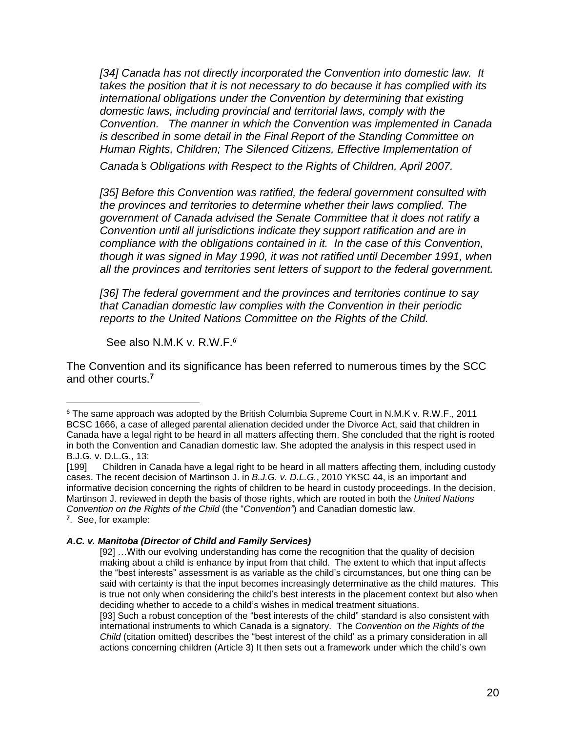*[34] Canada has not directly incorporated the Convention into domestic law. It takes the position that it is not necessary to do because it has complied with its international obligations under the Convention by determining that existing domestic laws, including provincial and territorial laws, comply with the Convention. The manner in which the Convention was implemented in Canada is described in some detail in the Final Report of the Standing Committee on Human Rights, Children; The Silenced Citizens, Effective Implementation of Canada*'*s Obligations with Respect to the Rights of Children, April 2007.*

*[35] Before this Convention was ratified, the federal government consulted with the provinces and territories to determine whether their laws complied. The government of Canada advised the Senate Committee that it does not ratify a Convention until all jurisdictions indicate they support ratification and are in compliance with the obligations contained in it. In the case of this Convention, though it was signed in May 1990, it was not ratified until December 1991, when all the provinces and territories sent letters of support to the federal government.* 

*[36] The federal government and the provinces and territories continue to say that Canadian domestic law complies with the Convention in their periodic reports to the United Nations Committee on the Rights of the Child.*

See also N.M.K v. R.W.F.*<sup>6</sup>*

 $\overline{a}$ 

The Convention and its significance has been referred to numerous times by the SCC and other courts.**<sup>7</sup>**

<sup>&</sup>lt;sup>6</sup> The same approach was adopted by the British Columbia Supreme Court in N.M.K v. R.W.F., 2011 BCSC 1666, a case of alleged parental alienation decided under the Divorce Act, said that children in Canada have a legal right to be heard in all matters affecting them. She concluded that the right is rooted in both the Convention and Canadian domestic law. She adopted the analysis in this respect used in B.J.G. v. D.L.G., 13:

<sup>[199]</sup> Children in Canada have a legal right to be heard in all matters affecting them, including custody cases. The recent decision of Martinson J. in *B.J.G. v. D.L.G.*, 2010 YKSC 44, is an important and informative decision concerning the rights of children to be heard in custody proceedings. In the decision, Martinson J. reviewed in depth the basis of those rights, which are rooted in both the *United Nations Convention on the Rights of the Child* (the "*Convention"*) and Canadian domestic law. **7** . See, for example:

*A.C. v. Manitoba (Director of Child and Family Services)*

<sup>[92]</sup> …With our evolving understanding has come the recognition that the quality of decision making about a child is enhance by input from that child. The extent to which that input affects the "best interests" assessment is as variable as the child's circumstances, but one thing can be said with certainty is that the input becomes increasingly determinative as the child matures. This is true not only when considering the child's best interests in the placement context but also when deciding whether to accede to a child's wishes in medical treatment situations.

<sup>[93]</sup> Such a robust conception of the "best interests of the child" standard is also consistent with international instruments to which Canada is a signatory. The *Convention on the Rights of the Child* (citation omitted) describes the "best interest of the child' as a primary consideration in all actions concerning children (Article 3) It then sets out a framework under which the child's own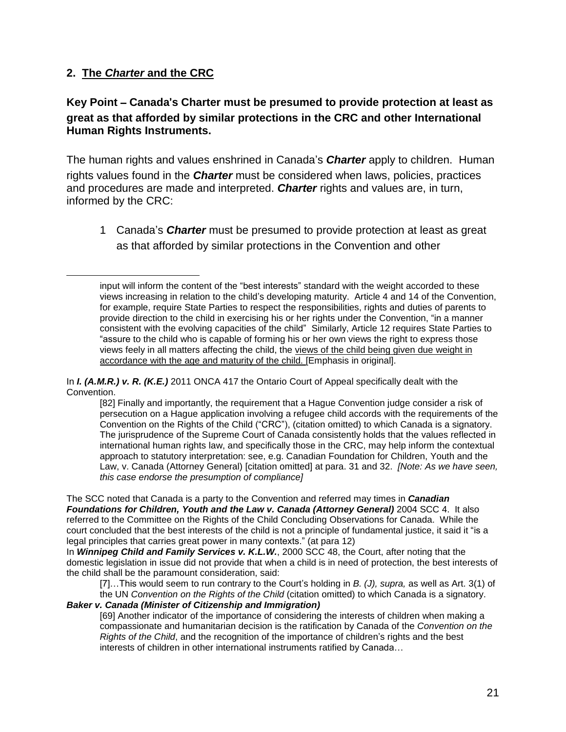#### **2. The** *Charter* **and the CRC**

 $\overline{a}$ 

#### **Key Point** – **Canada**'**s Charter must be presumed to provide protection at least as great as that afforded by similar protections in the CRC and other International Human Rights Instruments.**

The human rights and values enshrined in Canada's *Charter* apply to children. Human rights values found in the *Charter* must be considered when laws, policies, practices and procedures are made and interpreted. *Charter* rights and values are, in turn, informed by the CRC:

1 Canada's *Charter* must be presumed to provide protection at least as great as that afforded by similar protections in the Convention and other

In *I. (A.M.R.) v. R. (K.E.)* 2011 ONCA 417 the Ontario Court of Appeal specifically dealt with the Convention.

[82] Finally and importantly, the requirement that a Hague Convention judge consider a risk of persecution on a Hague application involving a refugee child accords with the requirements of the Convention on the Rights of the Child ("CRC"), (citation omitted) to which Canada is a signatory. The jurisprudence of the Supreme Court of Canada consistently holds that the values reflected in international human rights law, and specifically those in the CRC, may help inform the contextual approach to statutory interpretation: see, e.g. Canadian Foundation for Children, Youth and the Law, v. Canada (Attorney General) [citation omitted] at para. 31 and 32. *[Note: As we have seen, this case endorse the presumption of compliance]*

The SCC noted that Canada is a party to the Convention and referred may times in *Canadian Foundations for Children, Youth and the Law v. Canada (Attorney General)* 2004 SCC 4. It also referred to the Committee on the Rights of the Child Concluding Observations for Canada. While the court concluded that the best interests of the child is not a principle of fundamental justice, it said it "is a legal principles that carries great power in many contexts." (at para 12)

In *Winnipeg Child and Family Services v. K.L.W.*, 2000 SCC 48, the Court, after noting that the domestic legislation in issue did not provide that when a child is in need of protection, the best interests of the child shall be the paramount consideration, said:

[7]…This would seem to run contrary to the Court's holding in *B. (J), supra,* as well as Art. 3(1) of the UN *Convention on the Rights of the Child* (citation omitted) to which Canada is a signatory.

#### *Baker v. Canada (Minister of Citizenship and Immigration)*

[69] Another indicator of the importance of considering the interests of children when making a compassionate and humanitarian decision is the ratification by Canada of the *Convention on the Rights of the Child*, and the recognition of the importance of children's rights and the best interests of children in other international instruments ratified by Canada…

input will inform the content of the "best interests" standard with the weight accorded to these views increasing in relation to the child's developing maturity. Article 4 and 14 of the Convention, for example, require State Parties to respect the responsibilities, rights and duties of parents to provide direction to the child in exercising his or her rights under the Convention, "in a manner consistent with the evolving capacities of the child" Similarly, Article 12 requires State Parties to "assure to the child who is capable of forming his or her own views the right to express those views feely in all matters affecting the child, the views of the child being given due weight in accordance with the age and maturity of the child. [Emphasis in original].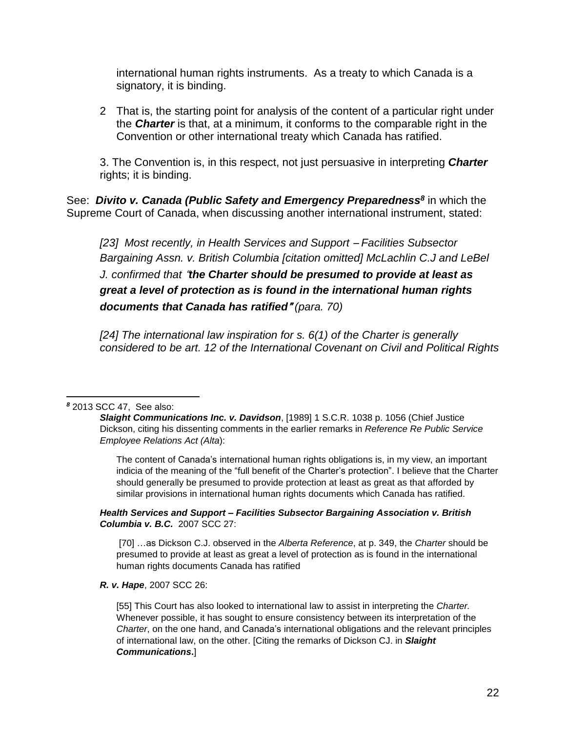international human rights instruments. As a treaty to which Canada is a signatory, it is binding.

2 That is, the starting point for analysis of the content of a particular right under the *Charter* is that, at a minimum, it conforms to the comparable right in the Convention or other international treaty which Canada has ratified.

3. The Convention is, in this respect, not just persuasive in interpreting *Charter* rights; it is binding.

See: *Divito v. Canada (Public Safety and Emergency Preparedness<sup>8</sup>* in which the Supreme Court of Canada, when discussing another international instrument, stated:

*[23] Most recently, in Health Services and Support* – *Facilities Subsector Bargaining Assn. v. British Columbia [citation omitted] McLachlin C.J and LeBel J. confirmed that* "*the Charter should be presumed to provide at least as great a level of protection as is found in the international human rights documents that Canada has ratified*" *(para. 70)*

*[24] The international law inspiration for s. 6(1) of the Charter is generally considered to be art. 12 of the International Covenant on Civil and Political Rights*

#### $\overline{a}$ *<sup>8</sup>* 2013 SCC 47, See also:

The content of Canada's international human rights obligations is, in my view, an important indicia of the meaning of the "full benefit of the Charter's protection". I believe that the Charter should generally be presumed to provide protection at least as great as that afforded by similar provisions in international human rights documents which Canada has ratified.

*Health Services and Support – Facilities Subsector Bargaining Association v. British Columbia v. B.C.* 2007 SCC 27:

[70] …as Dickson C.J. observed in the *Alberta Reference*, at p. 349, the *Charter* should be presumed to provide at least as great a level of protection as is found in the international human rights documents Canada has ratified

*R. v. Hape*, 2007 SCC 26:

[55] This Court has also looked to international law to assist in interpreting the *Charter.*  Whenever possible, it has sought to ensure consistency between its interpretation of the *Charter*, on the one hand, and Canada's international obligations and the relevant principles of international law, on the other. [Citing the remarks of Dickson CJ. in *Slaight Communications***.**]

*Slaight Communications Inc. v. Davidson*, [1989] 1 S.C.R. 1038 p. 1056 (Chief Justice Dickson, citing his dissenting comments in the earlier remarks in *Reference Re Public Service Employee Relations Act (Alta*):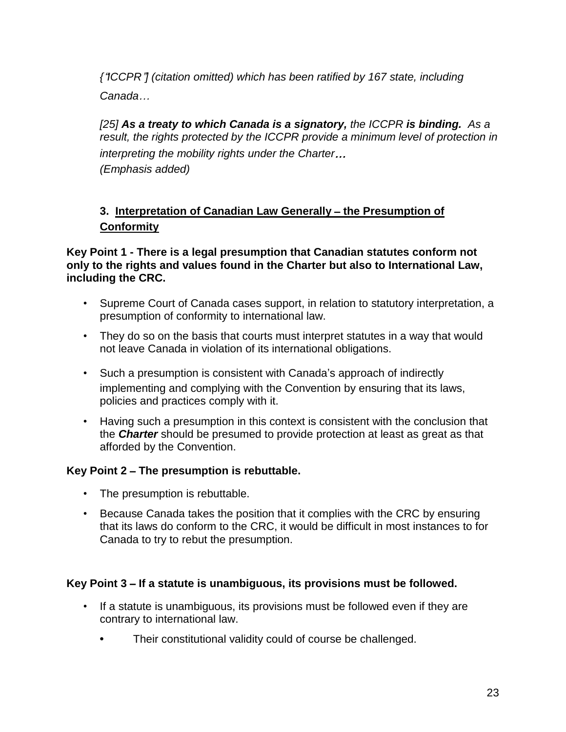*{*"*ICCPR*"*] (citation omitted) which has been ratified by 167 state, including Canada*…

*[25] As a treaty to which Canada is a signatory, the ICCPR is binding. As a result, the rights protected by the ICCPR provide a minimum level of protection in interpreting the mobility rights under the Charter*… *(Emphasis added)*

## **3. Interpretation of Canadian Law Generally** – **the Presumption of Conformity**

**Key Point 1 - There is a legal presumption that Canadian statutes conform not only to the rights and values found in the Charter but also to International Law, including the CRC.**

- Supreme Court of Canada cases support, in relation to statutory interpretation, a presumption of conformity to international law.
- They do so on the basis that courts must interpret statutes in a way that would not leave Canada in violation of its international obligations.
- Such a presumption is consistent with Canada's approach of indirectly implementing and complying with the Convention by ensuring that its laws, policies and practices comply with it.
- Having such a presumption in this context is consistent with the conclusion that the *Charter* should be presumed to provide protection at least as great as that afforded by the Convention.

#### **Key Point 2** – **The presumption is rebuttable.**

- The presumption is rebuttable.
- Because Canada takes the position that it complies with the CRC by ensuring that its laws do conform to the CRC, it would be difficult in most instances to for Canada to try to rebut the presumption.

#### **Key Point 3** – **If a statute is unambiguous, its provisions must be followed.**

- If a statute is unambiguous, its provisions must be followed even if they are contrary to international law.
	- **•** Their constitutional validity could of course be challenged.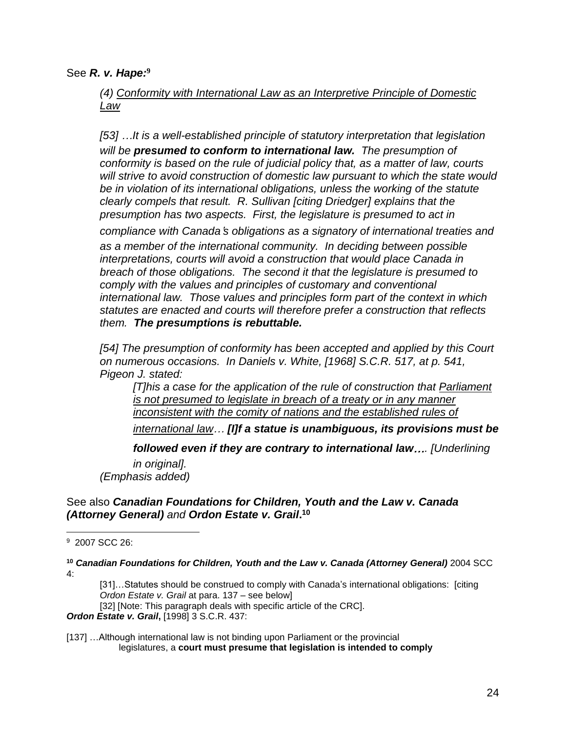See *R. v. Hape:***<sup>9</sup>**

*(4) Conformity with International Law as an Interpretive Principle of Domestic Law*

*[53]* …*It is a well-established principle of statutory interpretation that legislation will be presumed to conform to international law. The presumption of conformity is based on the rule of judicial policy that, as a matter of law, courts will strive to avoid construction of domestic law pursuant to which the state would be in violation of its international obligations, unless the working of the statute clearly compels that result. R. Sullivan [citing Driedger] explains that the presumption has two aspects. First, the legislature is presumed to act in*

*compliance with Canada*'*s obligations as a signatory of international treaties and as a member of the international community. In deciding between possible interpretations, courts will avoid a construction that would place Canada in breach of those obligations. The second it that the legislature is presumed to comply with the values and principles of customary and conventional international law. Those values and principles form part of the context in which statutes are enacted and courts will therefore prefer a construction that reflects them. The presumptions is rebuttable.*

*[54] The presumption of conformity has been accepted and applied by this Court on numerous occasions. In Daniels v. White, [1968] S.C.R. 517, at p. 541, Pigeon J. stated:*

*[T]his a case for the application of the rule of construction that Parliament is not presumed to legislate in breach of a treaty or in any manner inconsistent with the comity of nations and the established rules of*

*international law*… *[I]f a statue is unambiguous, its provisions must be*

*followed even if they are contrary to international law*…*. [Underlining in original]. (Emphasis added)*

#### See also *Canadian Foundations for Children, Youth and the Law v. Canada (Attorney General) and Ordon Estate v. Grail***. 10**

**<sup>10</sup>** *Canadian Foundations for Children, Youth and the Law v. Canada (Attorney General)* 2004 SCC 4:

[31]...Statutes should be construed to comply with Canada's international obligations: [citing *Ordon Estate v. Grail* at para. 137 – see below]

[32] [Note: This paragraph deals with specific article of the CRC].

*Ordon Estate v. Grail***,** [1998] 3 S.C.R. 437:

[137] …Although international law is not binding upon Parliament or the provincial legislatures, a **court must presume that legislation is intended to comply**

 $\overline{a}$ 9 2007 SCC 26: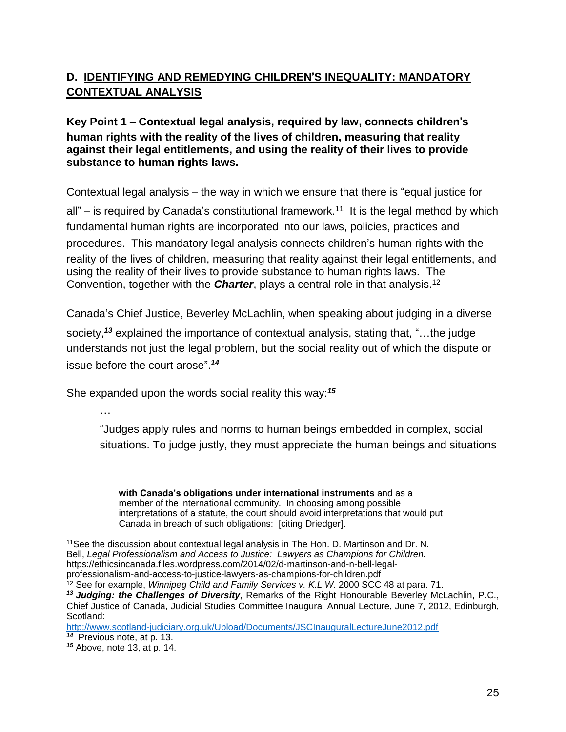# **D. IDENTIFYING AND REMEDYING CHILDREN**'**S INEQUALITY: MANDATORY CONTEXTUAL ANALYSIS**

#### **Key Point 1** – **Contextual legal analysis, required by law, connects children**'**s human rights with the reality of the lives of children, measuring that reality against their legal entitlements, and using the reality of their lives to provide substance to human rights laws.**

Contextual legal analysis – the way in which we ensure that there is "equal justice for

all" – is required by Canada's constitutional framework.<sup>11</sup> It is the legal method by which fundamental human rights are incorporated into our laws, policies, practices and procedures. This mandatory legal analysis connects children's human rights with the reality of the lives of children, measuring that reality against their legal entitlements, and using the reality of their lives to provide substance to human rights laws. The Convention, together with the *Charter*, plays a central role in that analysis.<sup>12</sup>

Canada's Chief Justice, Beverley McLachlin, when speaking about judging in a diverse

society,*<sup>13</sup>* explained the importance of contextual analysis, stating that, "…the judge understands not just the legal problem, but the social reality out of which the dispute or issue before the court arose". *14*

She expanded upon the words social reality this way:*<sup>15</sup>*

…

 $\overline{a}$ 

"Judges apply rules and norms to human beings embedded in complex, social situations. To judge justly, they must appreciate the human beings and situations

**with Canada's obligations under international instruments** and as a member of the international community. In choosing among possible interpretations of a statute, the court should avoid interpretations that would put Canada in breach of such obligations: [citing Driedger].

<sup>12</sup> See for example, *Winnipeg Child and Family Services v. K.L.W.* 2000 SCC 48 at para. 71. *<sup>13</sup> Judging: the Challenges of Diversity*, Remarks of the Right Honourable Beverley McLachlin, P.C.,

<sup>11</sup>See the discussion about contextual legal analysis in The Hon. D. Martinson and Dr. N. Bell, *Legal Professionalism and Access to Justice: Lawyers as Champions for Children.* https://ethicsincanada.files.wordpress.com/2014/02/d-martinson-and-n-bell-legalprofessionalism-and-access-to-justice-lawyers-as-champions-for-children.pdf

Chief Justice of Canada, Judicial Studies Committee Inaugural Annual Lecture, June 7, 2012, Edinburgh, Scotland:

<http://www.scotland-judiciary.org.uk/Upload/Documents/JSCInauguralLectureJune2012.pdf> *14* Previous note, at p. 13.

*<sup>15</sup>* Above, note 13, at p. 14.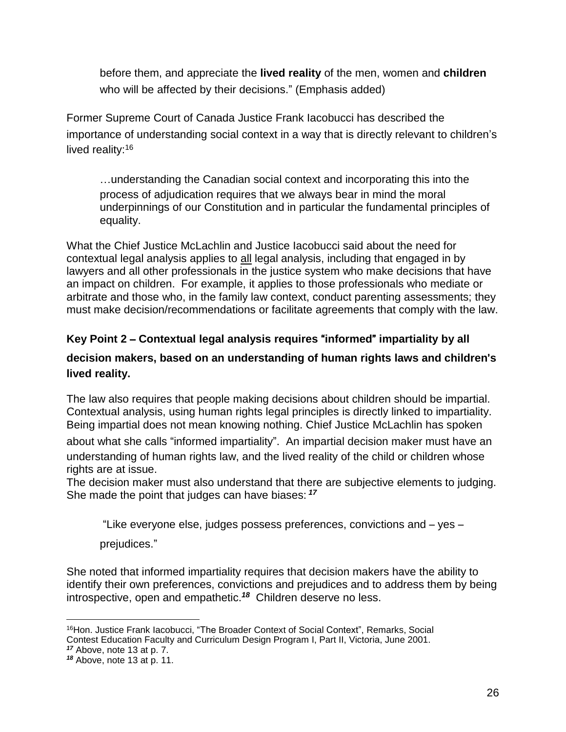before them, and appreciate the **lived reality** of the men, women and **children** who will be affected by their decisions." (Emphasis added)

Former Supreme Court of Canada Justice Frank Iacobucci has described the importance of understanding social context in a way that is directly relevant to children's lived reality:<sup>16</sup>

…understanding the Canadian social context and incorporating this into the process of adjudication requires that we always bear in mind the moral underpinnings of our Constitution and in particular the fundamental principles of equality.

What the Chief Justice McLachlin and Justice Iacobucci said about the need for contextual legal analysis applies to all legal analysis, including that engaged in by lawyers and all other professionals in the justice system who make decisions that have an impact on children. For example, it applies to those professionals who mediate or arbitrate and those who, in the family law context, conduct parenting assessments; they must make decision/recommendations or facilitate agreements that comply with the law.

## **Key Point 2** – **Contextual legal analysis requires** "**informed**" **impartiality by all**

## **decision makers, based on an understanding of human rights laws and children**'**s lived reality.**

The law also requires that people making decisions about children should be impartial. Contextual analysis, using human rights legal principles is directly linked to impartiality. Being impartial does not mean knowing nothing. Chief Justice McLachlin has spoken

about what she calls "informed impartiality". An impartial decision maker must have an understanding of human rights law, and the lived reality of the child or children whose rights are at issue.

The decision maker must also understand that there are subjective elements to judging. She made the point that judges can have biases: *<sup>17</sup>*

"Like everyone else, judges possess preferences, convictions and – yes –

prejudices."

She noted that informed impartiality requires that decision makers have the ability to identify their own preferences, convictions and prejudices and to address them by being introspective, open and empathetic.*<sup>18</sup>* Children deserve no less.

 $\overline{a}$ <sup>16</sup>Hon. Justice Frank Iacobucci, "The Broader Context of Social Context", Remarks, Social Contest Education Faculty and Curriculum Design Program I, Part II, Victoria, June 2001.

*<sup>17</sup>* Above, note 13 at p. 7.

*<sup>18</sup>* Above, note 13 at p. 11.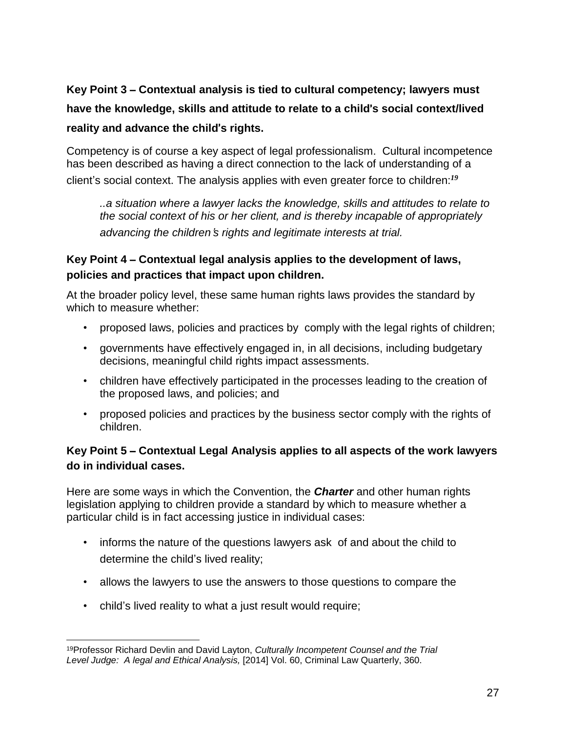**Key Point 3** – **Contextual analysis is tied to cultural competency; lawyers must have the knowledge, skills and attitude to relate to a child**'**s social context/lived reality and advance the child**'**s rights.**

Competency is of course a key aspect of legal professionalism. Cultural incompetence has been described as having a direct connection to the lack of understanding of a client's social context. The analysis applies with even greater force to children:*<sup>19</sup>*

*..a situation where a lawyer lacks the knowledge, skills and attitudes to relate to the social context of his or her client, and is thereby incapable of appropriately advancing the children*'*s rights and legitimate interests at trial.*

#### **Key Point 4** – **Contextual legal analysis applies to the development of laws, policies and practices that impact upon children.**

At the broader policy level, these same human rights laws provides the standard by which to measure whether:

- proposed laws, policies and practices by comply with the legal rights of children;
- governments have effectively engaged in, in all decisions, including budgetary decisions, meaningful child rights impact assessments.
- children have effectively participated in the processes leading to the creation of the proposed laws, and policies; and
- proposed policies and practices by the business sector comply with the rights of children.

## **Key Point 5** – **Contextual Legal Analysis applies to all aspects of the work lawyers do in individual cases.**

Here are some ways in which the Convention, the *Charter* and other human rights legislation applying to children provide a standard by which to measure whether a particular child is in fact accessing justice in individual cases:

- informs the nature of the questions lawyers ask of and about the child to determine the child's lived reality;
- allows the lawyers to use the answers to those questions to compare the
- child's lived reality to what a just result would require;

 $\overline{a}$ <sup>19</sup>Professor Richard Devlin and David Layton, *Culturally Incompetent Counsel and the Trial Level Judge: A legal and Ethical Analysis,* [2014] Vol. 60, Criminal Law Quarterly, 360.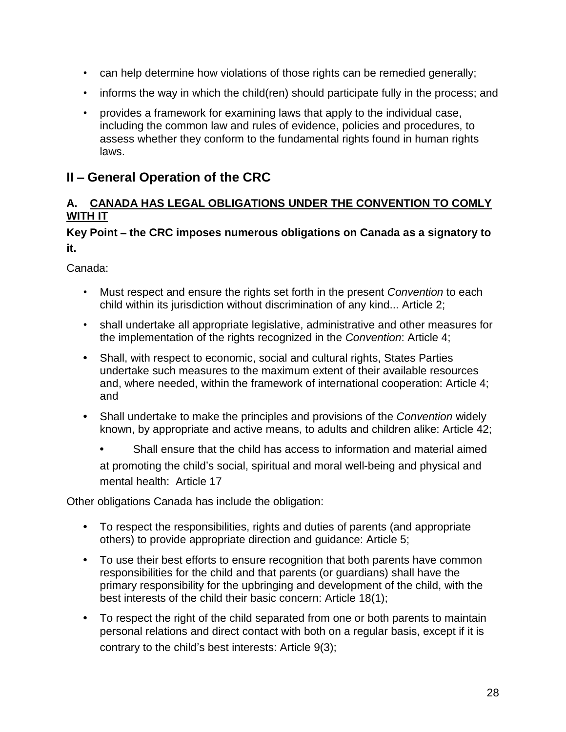- can help determine how violations of those rights can be remedied generally;
- informs the way in which the child(ren) should participate fully in the process; and
- provides a framework for examining laws that apply to the individual case, including the common law and rules of evidence, policies and procedures, to assess whether they conform to the fundamental rights found in human rights laws.

# **II** – **General Operation of the CRC**

#### **A. CANADA HAS LEGAL OBLIGATIONS UNDER THE CONVENTION TO COMLY WITH IT**

#### **Key Point** – **the CRC imposes numerous obligations on Canada as a signatory to it.**

Canada:

- Must respect and ensure the rights set forth in the present *Convention* to each child within its jurisdiction without discrimination of any kind... Article 2;
- shall undertake all appropriate legislative, administrative and other measures for the implementation of the rights recognized in the *Convention*: Article 4;
- **•** Shall, with respect to economic, social and cultural rights, States Parties undertake such measures to the maximum extent of their available resources and, where needed, within the framework of international cooperation: Article 4; and
- **•** Shall undertake to make the principles and provisions of the *Convention* widely known, by appropriate and active means, to adults and children alike: Article 42;
	- **•** Shall ensure that the child has access to information and material aimed at promoting the child's social, spiritual and moral well-being and physical and mental health: Article 17

Other obligations Canada has include the obligation:

- **•** To respect the responsibilities, rights and duties of parents (and appropriate others) to provide appropriate direction and guidance: Article 5;
- **•** To use their best efforts to ensure recognition that both parents have common responsibilities for the child and that parents (or guardians) shall have the primary responsibility for the upbringing and development of the child, with the best interests of the child their basic concern: Article 18(1);
- **•** To respect the right of the child separated from one or both parents to maintain personal relations and direct contact with both on a regular basis, except if it is contrary to the child's best interests: Article 9(3);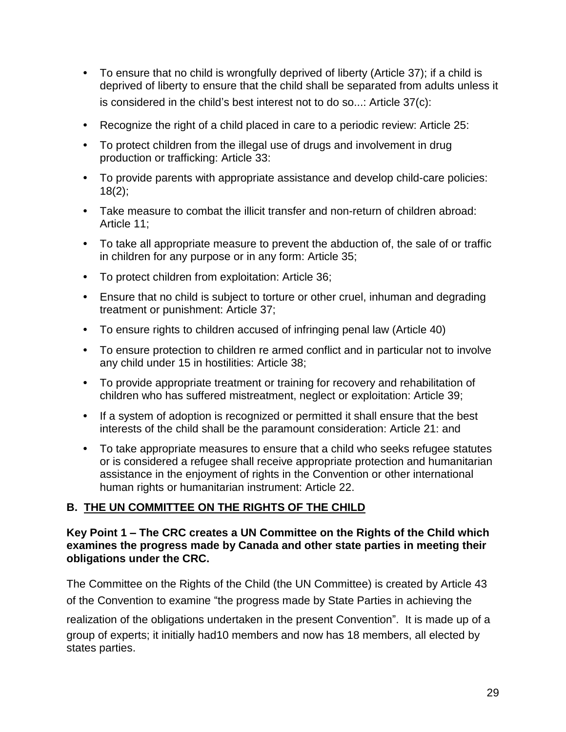- **•** To ensure that no child is wrongfully deprived of liberty (Article 37); if a child is deprived of liberty to ensure that the child shall be separated from adults unless it is considered in the child's best interest not to do so...: Article 37(c):
- **•** Recognize the right of a child placed in care to a periodic review: Article 25:
- **•** To protect children from the illegal use of drugs and involvement in drug production or trafficking: Article 33:
- **•** To provide parents with appropriate assistance and develop child-care policies:  $18(2)$ ;
- **•** Take measure to combat the illicit transfer and non-return of children abroad: Article 11;
- **•** To take all appropriate measure to prevent the abduction of, the sale of or traffic in children for any purpose or in any form: Article 35;
- **•** To protect children from exploitation: Article 36;
- **•** Ensure that no child is subject to torture or other cruel, inhuman and degrading treatment or punishment: Article 37;
- **•** To ensure rights to children accused of infringing penal law (Article 40)
- **•** To ensure protection to children re armed conflict and in particular not to involve any child under 15 in hostilities: Article 38;
- **•** To provide appropriate treatment or training for recovery and rehabilitation of children who has suffered mistreatment, neglect or exploitation: Article 39;
- **•** If a system of adoption is recognized or permitted it shall ensure that the best interests of the child shall be the paramount consideration: Article 21: and
- **•** To take appropriate measures to ensure that a child who seeks refugee statutes or is considered a refugee shall receive appropriate protection and humanitarian assistance in the enjoyment of rights in the Convention or other international human rights or humanitarian instrument: Article 22.

## **B. THE UN COMMITTEE ON THE RIGHTS OF THE CHILD**

#### **Key Point 1 – The CRC creates a UN Committee on the Rights of the Child which examines the progress made by Canada and other state parties in meeting their obligations under the CRC.**

The Committee on the Rights of the Child (the UN Committee) is created by Article 43 of the Convention to examine "the progress made by State Parties in achieving the

realization of the obligations undertaken in the present Convention".It is made up of a group of experts; it initially had10 members and now has 18 members, all elected by states parties.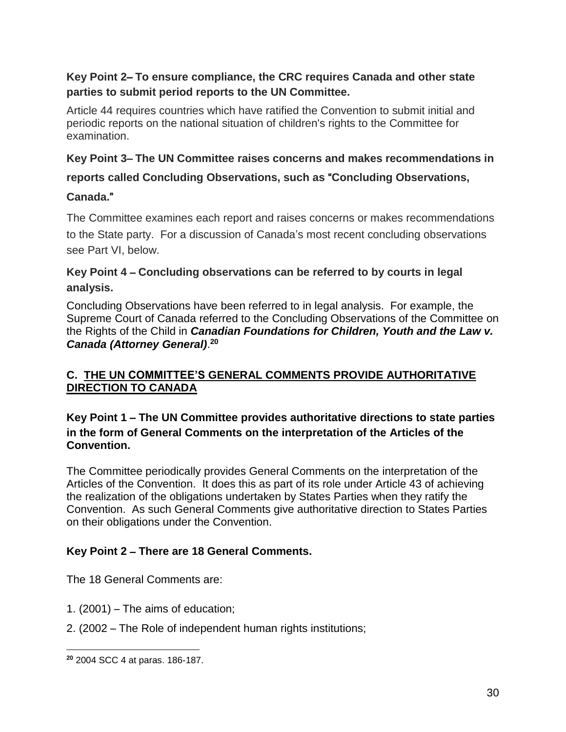## **Key Point 2**– **To ensure compliance, the CRC requires Canada and other state parties to submit period reports to the UN Committee.**

Article 44 requires countries which have ratified the Convention to submit initial and periodic reports on the national situation of children's rights to the Committee for examination.

#### **Key Point 3**– **The UN Committee raises concerns and makes recommendations in**

## **reports called Concluding Observations, such as** "**Concluding Observations,**

## **Canada.**"

The Committee examines each report and raises concerns or makes recommendations to the State party. For a discussion of Canada's most recent concluding observations see Part VI, below.

## **Key Point 4** – **Concluding observations can be referred to by courts in legal analysis.**

Concluding Observations have been referred to in legal analysis. For example, the Supreme Court of Canada referred to the Concluding Observations of the Committee on the Rights of the Child in *Canadian Foundations for Children, Youth and the Law v. Canada (Attorney General)*. **20**

#### **C. THE UN COMMITTEE'S GENERAL COMMENTS PROVIDE AUTHORITATIVE DIRECTION TO CANADA**

#### **Key Point 1** – **The UN Committee provides authoritative directions to state parties in the form of General Comments on the interpretation of the Articles of the Convention.**

The Committee periodically provides General Comments on the interpretation of the Articles of the Convention. It does this as part of its role under Article 43 of achieving the realization of the obligations undertaken by States Parties when they ratify the Convention. As such General Comments give authoritative direction to States Parties on their obligations under the Convention.

## **Key Point 2** – **There are 18 General Comments.**

The 18 General Comments are:

- 1. (2001) The aims of education;
- 2. (2002 The Role of independent human rights institutions;

 $\overline{a}$ **<sup>20</sup>** 2004 SCC 4 at paras. 186-187.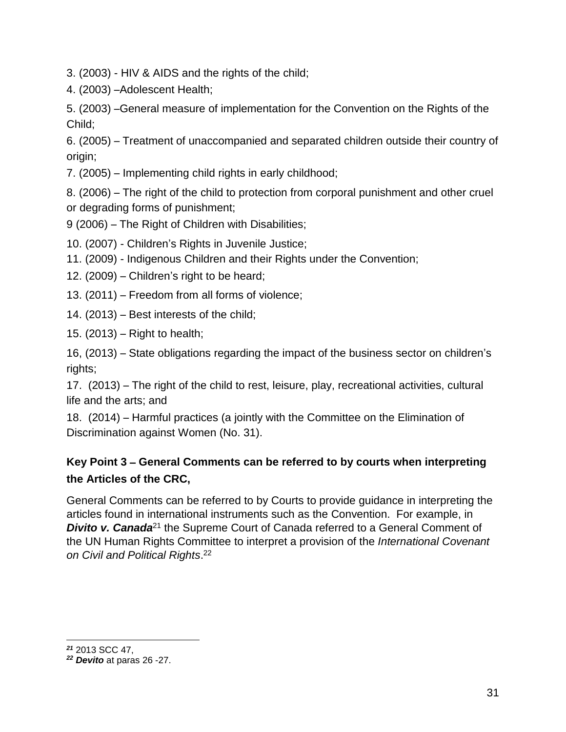3. (2003) - HIV & AIDS and the rights of the child;

4. (2003) –Adolescent Health;

5. (2003) –General measure of implementation for the Convention on the Rights of the Child;

6. (2005) – Treatment of unaccompanied and separated children outside their country of origin;

7. (2005) – Implementing child rights in early childhood;

8. (2006) – The right of the child to protection from corporal punishment and other cruel or degrading forms of punishment;

9 (2006) – The Right of Children with Disabilities;

10. (2007) - Children's Rights in Juvenile Justice;

11. (2009) - Indigenous Children and their Rights under the Convention;

12. (2009) – Children's right to be heard;

13. (2011) – Freedom from all forms of violence;

14. (2013) – Best interests of the child;

15. (2013) – Right to health;

16, (2013) – State obligations regarding the impact of the business sector on children's rights;

17. (2013) – The right of the child to rest, leisure, play, recreational activities, cultural life and the arts; and

18. (2014) – Harmful practices (a jointly with the Committee on the Elimination of Discrimination against Women (No. 31).

# **Key Point 3** – **General Comments can be referred to by courts when interpreting the Articles of the CRC,**

General Comments can be referred to by Courts to provide guidance in interpreting the articles found in international instruments such as the Convention. For example, in **Divito v. Canada**<sup>21</sup> the Supreme Court of Canada referred to a General Comment of the UN Human Rights Committee to interpret a provision of the *International Covenant on Civil and Political Rights*. 22

 $\overline{a}$ *<sup>21</sup>* 2013 SCC 47,

*<sup>22</sup> Devito* at paras 26 -27.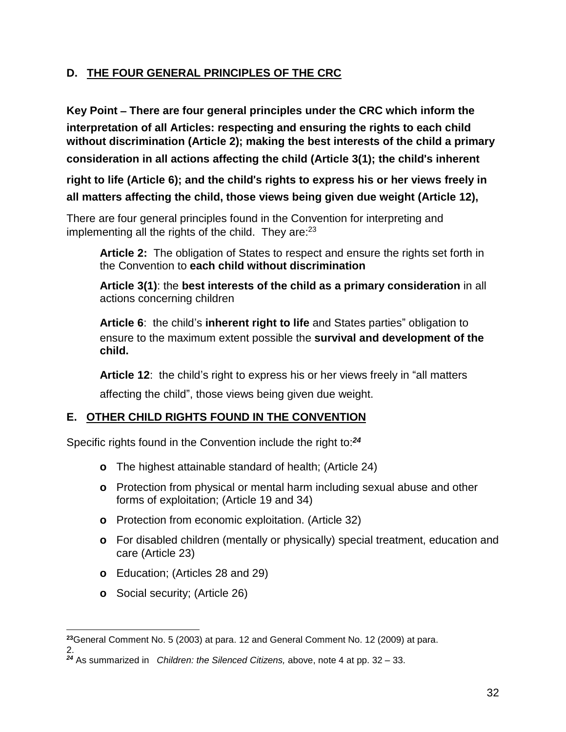## **D. THE FOUR GENERAL PRINCIPLES OF THE CRC**

**Key Point** – **There are four general principles under the CRC which inform the interpretation of all Articles: respecting and ensuring the rights to each child without discrimination (Article 2); making the best interests of the child a primary consideration in all actions affecting the child (Article 3(1); the child**'**s inherent**

**right to life (Article 6); and the child**'**s rights to express his or her views freely in all matters affecting the child, those views being given due weight (Article 12),**

There are four general principles found in the Convention for interpreting and implementing all the rights of the child. They are: $23$ 

**Article 2:** The obligation of States to respect and ensure the rights set forth in the Convention to **each child without discrimination**

**Article 3(1)**: the **best interests of the child as a primary consideration** in all actions concerning children

**Article 6**: the child's **inherent right to life** and States parties" obligation to ensure to the maximum extent possible the **survival and development of the child.**

**Article 12**: the child's right to express his or her views freely in "all matters

affecting the child", those views being given due weight.

## **E. OTHER CHILD RIGHTS FOUND IN THE CONVENTION**

Specific rights found in the Convention include the right to:*<sup>24</sup>*

- **o** The highest attainable standard of health; (Article 24)
- **o** Protection from physical or mental harm including sexual abuse and other forms of exploitation; (Article 19 and 34)
- **o** Protection from economic exploitation. (Article 32)
- **o** For disabled children (mentally or physically) special treatment, education and care (Article 23)
- **o** Education; (Articles 28 and 29)
- **o** Social security; (Article 26)

 $\overline{a}$ **<sup>23</sup>**General Comment No. 5 (2003) at para. 12 and General Comment No. 12 (2009) at para.

<sup>2.</sup>  *<sup>24</sup>* As summarized in *Children: the Silenced Citizens,* above, note 4 at pp. 32 – 33.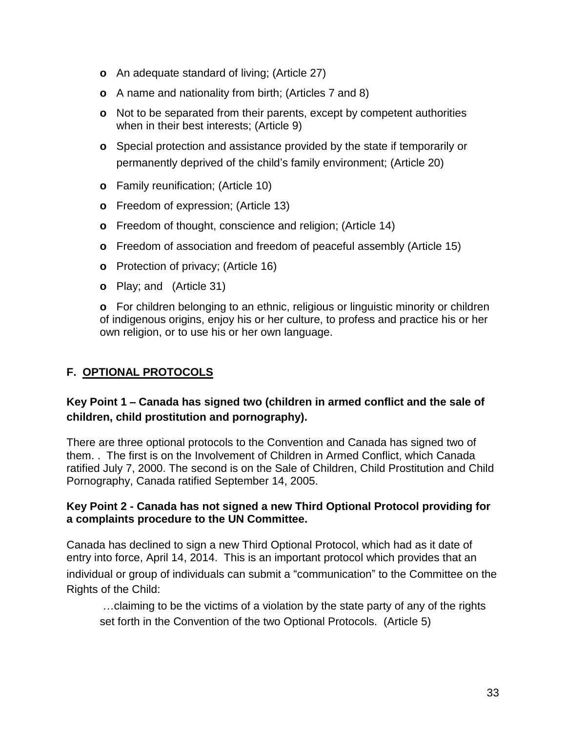- **o** An adequate standard of living; (Article 27)
- **o** A name and nationality from birth; (Articles 7 and 8)
- **o** Not to be separated from their parents, except by competent authorities when in their best interests; (Article 9)
- **o** Special protection and assistance provided by the state if temporarily or permanently deprived of the child's family environment; (Article 20)
- **o** Family reunification; (Article 10)
- **o** Freedom of expression; (Article 13)
- **o** Freedom of thought, conscience and religion; (Article 14)
- **o** Freedom of association and freedom of peaceful assembly (Article 15)
- **o** Protection of privacy; (Article 16)
- **o** Play; and (Article 31)

**o** For children belonging to an ethnic, religious or linguistic minority or children of indigenous origins, enjoy his or her culture, to profess and practice his or her own religion, or to use his or her own language.

#### **F. OPTIONAL PROTOCOLS**

#### **Key Point 1** – **Canada has signed two (children in armed conflict and the sale of children, child prostitution and pornography).**

There are three optional protocols to the Convention and Canada has signed two of them. . The first is on the Involvement of Children in Armed Conflict, which Canada ratified July 7, 2000. The second is on the Sale of Children, Child Prostitution and Child Pornography, Canada ratified September 14, 2005.

#### **Key Point 2 - Canada has not signed a new Third Optional Protocol providing for a complaints procedure to the UN Committee.**

Canada has declined to sign a new Third Optional Protocol, which had as it date of entry into force, April 14, 2014. This is an important protocol which provides that an individual or group of individuals can submit a "communication" to the Committee on the Rights of the Child:

…claiming to be the victims of a violation by the state party of any of the rights set forth in the Convention of the two Optional Protocols. (Article 5)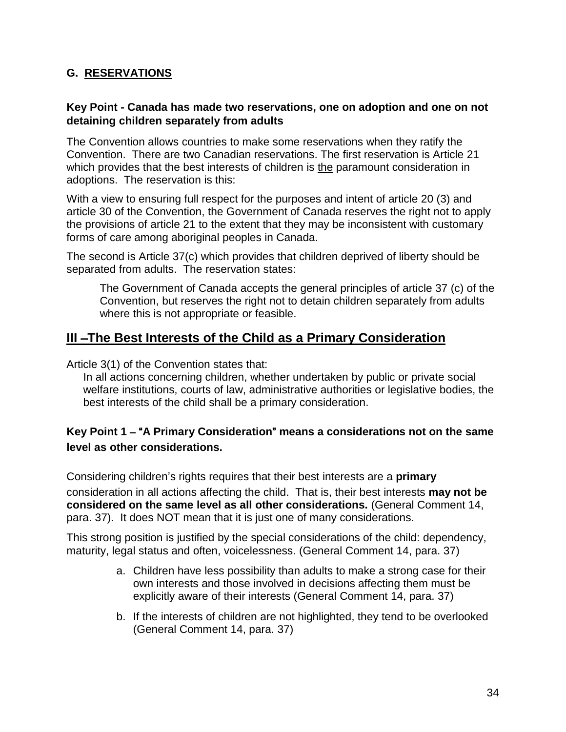#### **G. RESERVATIONS**

#### **Key Point - Canada has made two reservations, one on adoption and one on not detaining children separately from adults**

The Convention allows countries to make some reservations when they ratify the Convention. There are two Canadian reservations. The first reservation is Article 21 which provides that the best interests of children is the paramount consideration in adoptions. The reservation is this:

With a view to ensuring full respect for the purposes and intent of article 20 (3) and article 30 of the Convention, the Government of Canada reserves the right not to apply the provisions of article 21 to the extent that they may be inconsistent with customary forms of care among aboriginal peoples in Canada.

The second is Article 37(c) which provides that children deprived of liberty should be separated from adults. The reservation states:

The Government of Canada accepts the general principles of article 37 (c) of the Convention, but reserves the right not to detain children separately from adults where this is not appropriate or feasible.

## **III** –**The Best Interests of the Child as a Primary Consideration**

Article 3(1) of the Convention states that:

In all actions concerning children, whether undertaken by public or private social welfare institutions, courts of law, administrative authorities or legislative bodies, the best interests of the child shall be a primary consideration.

#### **Key Point 1** – "**A Primary Consideration**" **means a considerations not on the same level as other considerations.**

Considering children's rights requires that their best interests are a **primary**

consideration in all actions affecting the child. That is, their best interests **may not be considered on the same level as all other considerations.** (General Comment 14, para. 37). It does NOT mean that it is just one of many considerations.

This strong position is justified by the special considerations of the child: dependency, maturity, legal status and often, voicelessness. (General Comment 14, para. 37)

- a. Children have less possibility than adults to make a strong case for their own interests and those involved in decisions affecting them must be explicitly aware of their interests (General Comment 14, para. 37)
- b. If the interests of children are not highlighted, they tend to be overlooked (General Comment 14, para. 37)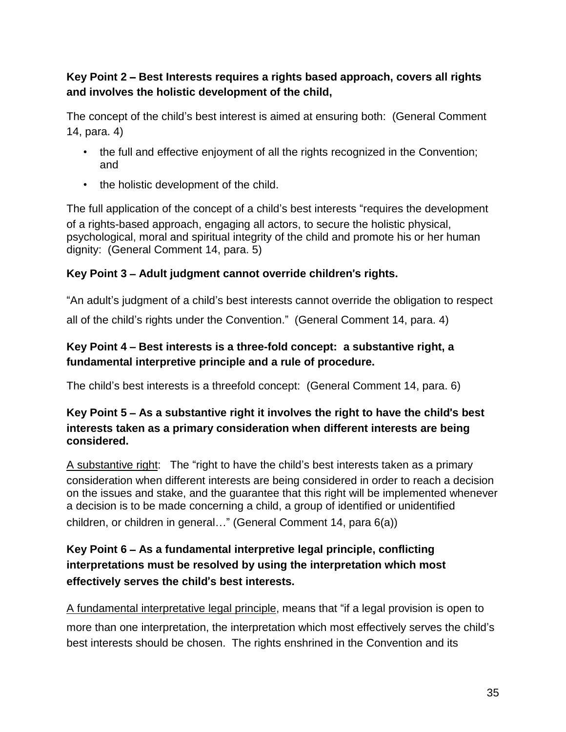## **Key Point 2** – **Best Interests requires a rights based approach, covers all rights and involves the holistic development of the child,**

The concept of the child's best interest is aimed at ensuring both: (General Comment 14, para. 4)

- the full and effective enjoyment of all the rights recognized in the Convention; and
- the holistic development of the child.

The full application of the concept of a child's best interests "requires the development of a rights-based approach, engaging all actors, to secure the holistic physical, psychological, moral and spiritual integrity of the child and promote his or her human dignity: (General Comment 14, para. 5)

## **Key Point 3** – **Adult judgment cannot override children**'**s rights.**

"An adult's judgment of a child's best interests cannot override the obligation to respect all of the child's rights under the Convention." (General Comment 14, para. 4)

## **Key Point 4** – **Best interests is a three-fold concept: a substantive right, a fundamental interpretive principle and a rule of procedure.**

The child's best interests is a threefold concept: (General Comment 14, para. 6)

#### **Key Point 5** – **As a substantive right it involves the right to have the child**'**s best interests taken as a primary consideration when different interests are being considered.**

A substantive right: The "right to have the child's best interests taken as a primary consideration when different interests are being considered in order to reach a decision on the issues and stake, and the guarantee that this right will be implemented whenever a decision is to be made concerning a child, a group of identified or unidentified children, or children in general…" (General Comment 14, para 6(a))

## **Key Point 6** – **As a fundamental interpretive legal principle, conflicting interpretations must be resolved by using the interpretation which most effectively serves the child**'**s best interests.**

A fundamental interpretative legal principle, means that "if a legal provision is open to more than one interpretation, the interpretation which most effectively serves the child's best interests should be chosen. The rights enshrined in the Convention and its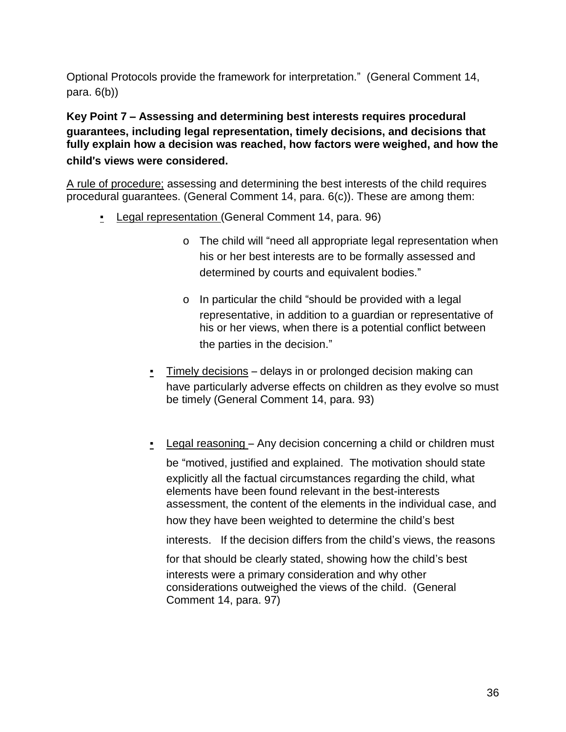Optional Protocols provide the framework for interpretation." (General Comment 14, para.  $6(b)$ )

**Key Point 7** – **Assessing and determining best interests requires procedural guarantees, including legal representation, timely decisions, and decisions that fully explain how a decision was reached, how factors were weighed, and how the child**'**s views were considered.**

A rule of procedure; assessing and determining the best interests of the child requires procedural guarantees. (General Comment 14, para. 6(c)). These are among them:

- Legal representation (General Comment 14, para. 96)
	- o The child will "need all appropriate legal representation when his or her best interests are to be formally assessed and determined by courts and equivalent bodies."
	- o In particular the child "should be provided with a legal representative, in addition to a guardian or representative of his or her views, when there is a potential conflict between the parties in the decision."
	- Timely decisions delays in or prolonged decision making can have particularly adverse effects on children as they evolve so must be timely (General Comment 14, para. 93)
	- Legal reasoning Any decision concerning a child or children must

be "motived, justified and explained. The motivation should state explicitly all the factual circumstances regarding the child, what elements have been found relevant in the best-interests assessment, the content of the elements in the individual case, and

how they have been weighted to determine the child's best

interests. If the decision differs from the child's views, the reasons

for that should be clearly stated, showing how the child's best interests were a primary consideration and why other considerations outweighed the views of the child. (General

Comment 14, para. 97)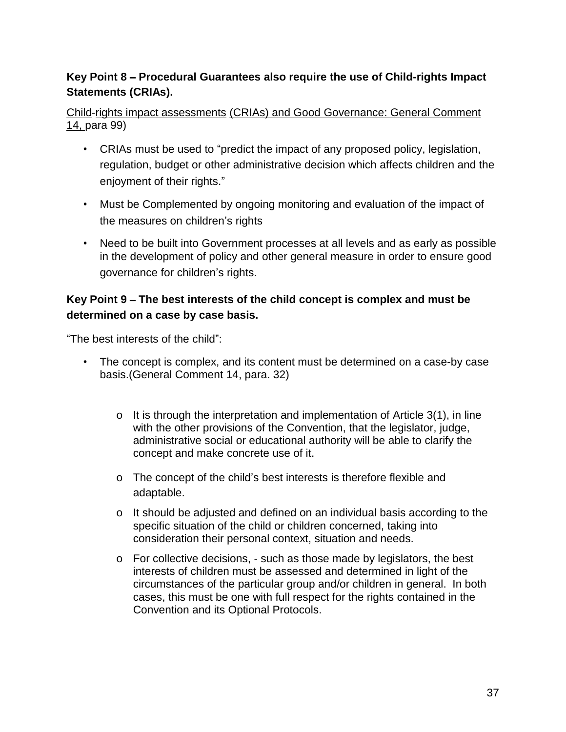# **Key Point 8** – **Procedural Guarantees also require the use of Child-rights Impact Statements (CRIAs).**

Child-rights impact assessments (CRIAs) and Good Governance: General Comment 14, para 99)

- CRIAs must be used to "predict the impact of any proposed policy, legislation, regulation, budget or other administrative decision which affects children and the enjoyment of their rights."
- Must be Complemented by ongoing monitoring and evaluation of the impact of the measures on children's rights
- Need to be built into Government processes at all levels and as early as possible in the development of policy and other general measure in order to ensure good governance for children's rights.

#### **Key Point 9** – **The best interests of the child concept is complex and must be determined on a case by case basis.**

"The best interests of the child":

- The concept is complex, and its content must be determined on a case-by case basis.(General Comment 14, para. 32)
	- o It is through the interpretation and implementation of Article 3(1), in line with the other provisions of the Convention, that the legislator, judge, administrative social or educational authority will be able to clarify the concept and make concrete use of it.
	- o The concept of the child's best interests is therefore flexible and adaptable.
	- o It should be adjusted and defined on an individual basis according to the specific situation of the child or children concerned, taking into consideration their personal context, situation and needs.
	- o For collective decisions, such as those made by legislators, the best interests of children must be assessed and determined in light of the circumstances of the particular group and/or children in general. In both cases, this must be one with full respect for the rights contained in the Convention and its Optional Protocols.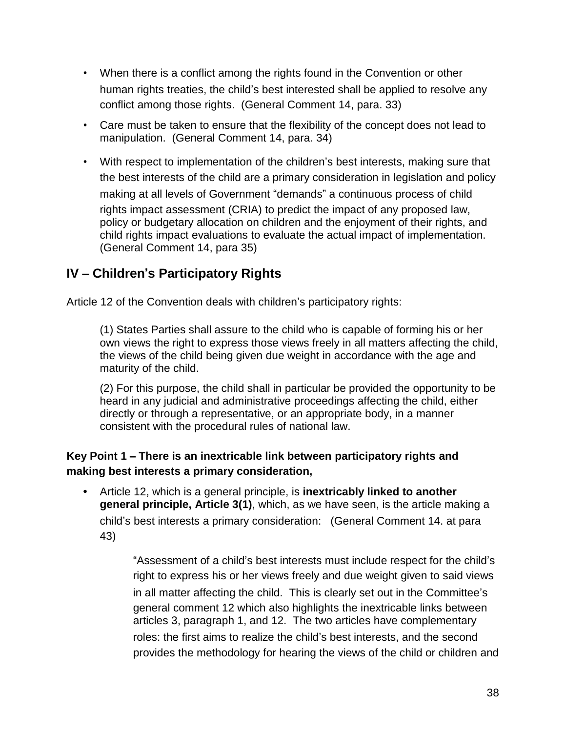- When there is a conflict among the rights found in the Convention or other human rights treaties, the child's best interested shall be applied to resolve any conflict among those rights. (General Comment 14, para. 33)
- Care must be taken to ensure that the flexibility of the concept does not lead to manipulation. (General Comment 14, para. 34)
- With respect to implementation of the children's best interests, making sure that the best interests of the child are a primary consideration in legislation and policy making at all levels of Government "demands" a continuous process of child rights impact assessment (CRIA) to predict the impact of any proposed law, policy or budgetary allocation on children and the enjoyment of their rights, and child rights impact evaluations to evaluate the actual impact of implementation. (General Comment 14, para 35)

# **IV** – **Children**'**s Participatory Rights**

Article 12 of the Convention deals with children's participatory rights:

(1) States Parties shall assure to the child who is capable of forming his or her own views the right to express those views freely in all matters affecting the child, the views of the child being given due weight in accordance with the age and maturity of the child.

(2) For this purpose, the child shall in particular be provided the opportunity to be heard in any judicial and administrative proceedings affecting the child, either directly or through a representative, or an appropriate body, in a manner consistent with the procedural rules of national law.

## **Key Point 1** – **There is an inextricable link between participatory rights and making best interests a primary consideration,**

**•** Article 12, which is a general principle, is **inextricably linked to another general principle, Article 3(1)**, which, as we have seen, is the article making a child's best interests a primary consideration: (General Comment 14. at para 43)

> "Assessment of a child's best interests must include respect for the child's right to express his or her views freely and due weight given to said views in all matter affecting the child. This is clearly set out in the Committee's general comment 12 which also highlights the inextricable links between articles 3, paragraph 1, and 12. The two articles have complementary roles: the first aims to realize the child's best interests, and the second provides the methodology for hearing the views of the child or children and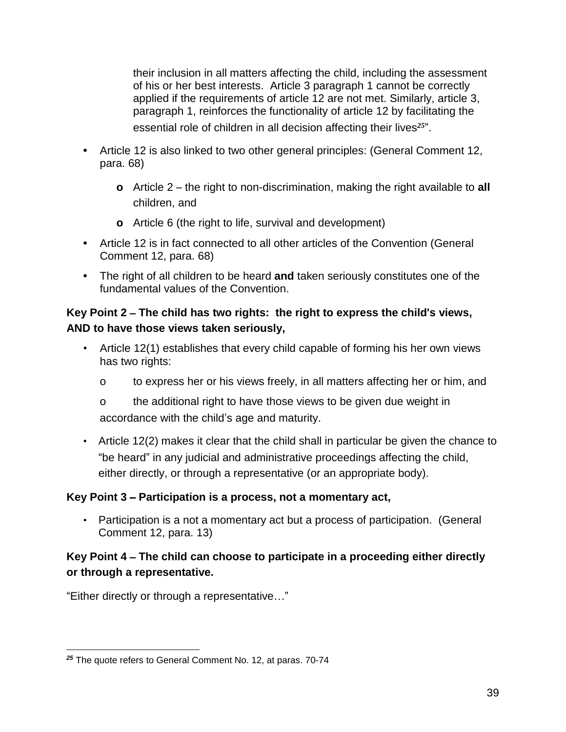their inclusion in all matters affecting the child, including the assessment of his or her best interests. Article 3 paragraph 1 cannot be correctly applied if the requirements of article 12 are not met. Similarly, article 3, paragraph 1, reinforces the functionality of article 12 by facilitating the essential role of children in all decision affecting their lives*<sup>25</sup>* ".

- **•** Article 12 is also linked to two other general principles: (General Comment 12, para. 68)
	- **o** Article 2 the right to non-discrimination, making the right available to **all** children, and
	- **o** Article 6 (the right to life, survival and development)
- **•** Article 12 is in fact connected to all other articles of the Convention (General Comment 12, para. 68)
- **•** The right of all children to be heard **and** taken seriously constitutes one of the fundamental values of the Convention.

## **Key Point 2** – **The child has two rights: the right to express the child**'**s views, AND to have those views taken seriously,**

- Article 12(1) establishes that every child capable of forming his her own views has two rights:
	- o to express her or his views freely, in all matters affecting her or him, and
	- o the additional right to have those views to be given due weight in accordance with the child's age and maturity.
- Article 12(2) makes it clear that the child shall in particular be given the chance to "be heard" in any judicial and administrative proceedings affecting the child, either directly, or through a representative (or an appropriate body).

## **Key Point 3** – **Participation is a process, not a momentary act,**

• Participation is a not a momentary act but a process of participation. (General Comment 12, para. 13)

## **Key Point 4** – **The child can choose to participate in a proceeding either directly or through a representative.**

"Either directly or through a representative…"

 $\overline{a}$ *<sup>25</sup>* The quote refers to General Comment No. 12, at paras. 70-74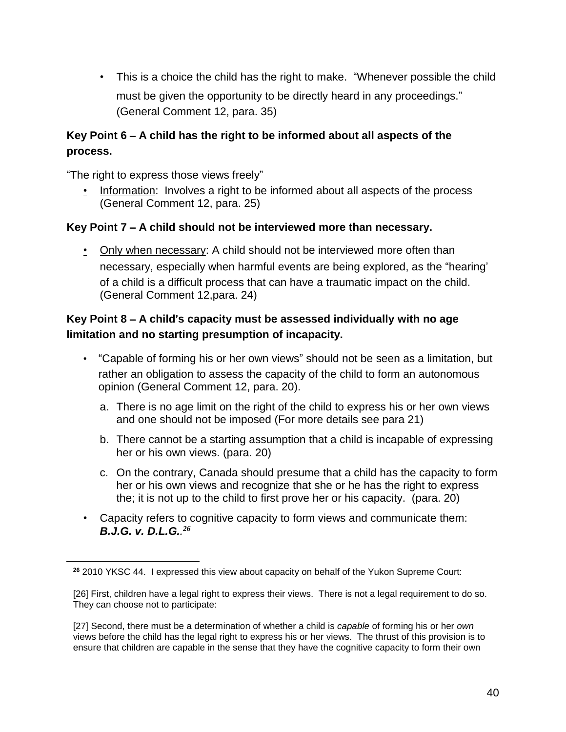• This is a choice the child has the right to make. "Whenever possible the child must be given the opportunity to be directly heard in any proceedings." (General Comment 12, para. 35)

## **Key Point 6** – **A child has the right to be informed about all aspects of the process.**

"The right to express those views freely"

 $\overline{a}$ 

• Information: Involves a right to be informed about all aspects of the process (General Comment 12, para. 25)

#### **Key Point 7** – **A child should not be interviewed more than necessary.**

• Only when necessary: A child should not be interviewed more often than necessary, especially when harmful events are being explored, as the "hearing' of a child is a difficult process that can have a traumatic impact on the child. (General Comment 12,para. 24)

#### **Key Point 8** – **A child**'**s capacity must be assessed individually with no age limitation and no starting presumption of incapacity.**

- "Capable of forming his or her own views" should not be seen as a limitation, but rather an obligation to assess the capacity of the child to form an autonomous opinion (General Comment 12, para. 20).
	- a. There is no age limit on the right of the child to express his or her own views and one should not be imposed (For more details see para 21)
	- b. There cannot be a starting assumption that a child is incapable of expressing her or his own views. (para. 20)
	- c. On the contrary, Canada should presume that a child has the capacity to form her or his own views and recognize that she or he has the right to express the; it is not up to the child to first prove her or his capacity. (para. 20)
- Capacity refers to cognitive capacity to form views and communicate them: *B.J.G. v. D.L.G.. 26*

**<sup>26</sup>** 2010 YKSC 44. I expressed this view about capacity on behalf of the Yukon Supreme Court:

<sup>[26]</sup> First, children have a legal right to express their views. There is not a legal requirement to do so. They can choose not to participate:

<sup>[27]</sup> Second, there must be a determination of whether a child is *capable* of forming his or her *own* views before the child has the legal right to express his or her views. The thrust of this provision is to ensure that children are capable in the sense that they have the cognitive capacity to form their own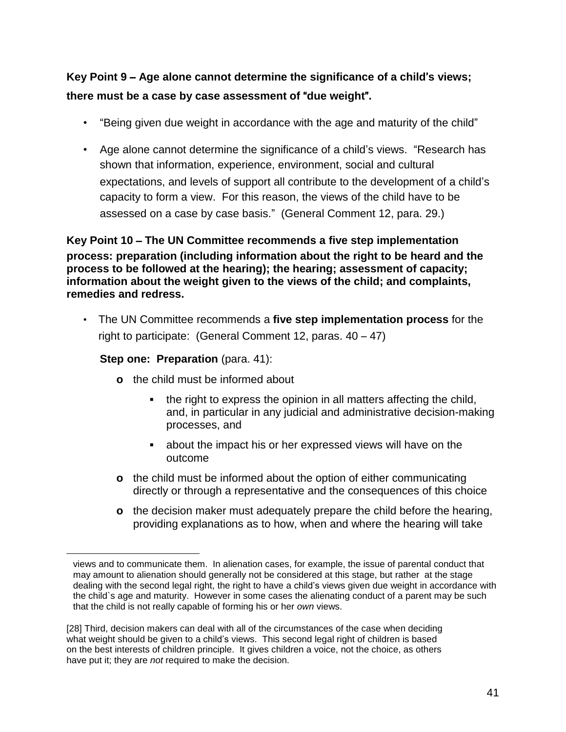# **Key Point 9** – **Age alone cannot determine the significance of a child**'**s views; there must be a case by case assessment of** "**due weight**"**.**

- "Being given due weight in accordance with the age and maturity of the child"
- Age alone cannot determine the significance of a child's views. "Research has shown that information, experience, environment, social and cultural expectations, and levels of support all contribute to the development of a child's capacity to form a view. For this reason, the views of the child have to be assessed on a case by case basis." (General Comment 12, para. 29.)

**Key Point 10** – **The UN Committee recommends a five step implementation process: preparation (including information about the right to be heard and the process to be followed at the hearing); the hearing; assessment of capacity; information about the weight given to the views of the child; and complaints, remedies and redress.**

• The UN Committee recommends a **five step implementation process** for the right to participate: (General Comment 12, paras. 40 – 47)

#### **Step one: Preparation** (para. 41):

- **o** the child must be informed about
	- **▪** the right to express the opinion in all matters affecting the child, and, in particular in any judicial and administrative decision-making processes, and
	- about the impact his or her expressed views will have on the outcome
- **o** the child must be informed about the option of either communicating directly or through a representative and the consequences of this choice
- **o** the decision maker must adequately prepare the child before the hearing, providing explanations as to how, when and where the hearing will take

views and to communicate them. In alienation cases, for example, the issue of parental conduct that may amount to alienation should generally not be considered at this stage, but rather at the stage dealing with the second legal right, the right to have a child's views given due weight in accordance with the child`s age and maturity. However in some cases the alienating conduct of a parent may be such that the child is not really capable of forming his or her *own* views.

<sup>[28]</sup> Third, decision makers can deal with all of the circumstances of the case when deciding what weight should be given to a child's views. This second legal right of children is based on the best interests of children principle. It gives children a voice, not the choice, as others have put it; they are *not* required to make the decision.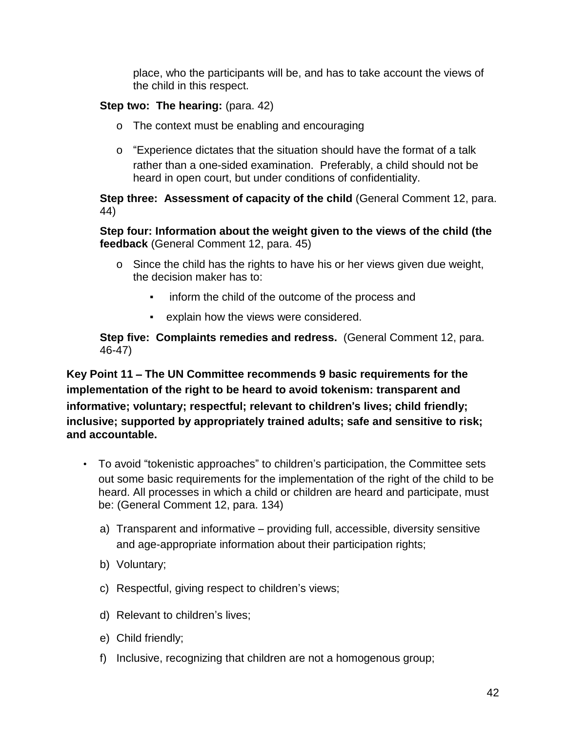place, who the participants will be, and has to take account the views of the child in this respect.

#### **Step two: The hearing:** (para. 42)

- o The context must be enabling and encouraging
- o "Experience dictates that the situation should have the format of a talk rather than a one-sided examination. Preferably, a child should not be heard in open court, but under conditions of confidentiality.

**Step three: Assessment of capacity of the child** (General Comment 12, para. 44)

**Step four: Information about the weight given to the views of the child (the feedback** (General Comment 12, para. 45)

- o Since the child has the rights to have his or her views given due weight, the decision maker has to:
	- inform the child of the outcome of the process and
	- explain how the views were considered.

**Step five: Complaints remedies and redress.** (General Comment 12, para. 46-47)

**Key Point 11** – **The UN Committee recommends 9 basic requirements for the implementation of the right to be heard to avoid tokenism: transparent and informative; voluntary; respectful; relevant to children**'**s lives; child friendly; inclusive; supported by appropriately trained adults; safe and sensitive to risk; and accountable.**

- To avoid "tokenistic approaches" to children's participation, the Committee sets out some basic requirements for the implementation of the right of the child to be heard. All processes in which a child or children are heard and participate, must be: (General Comment 12, para. 134)
	- a) Transparent and informative providing full, accessible, diversity sensitive and age-appropriate information about their participation rights;
	- b) Voluntary;
	- c) Respectful, giving respect to children's views;
	- d) Relevant to children's lives;
	- e) Child friendly;
	- f) Inclusive, recognizing that children are not a homogenous group;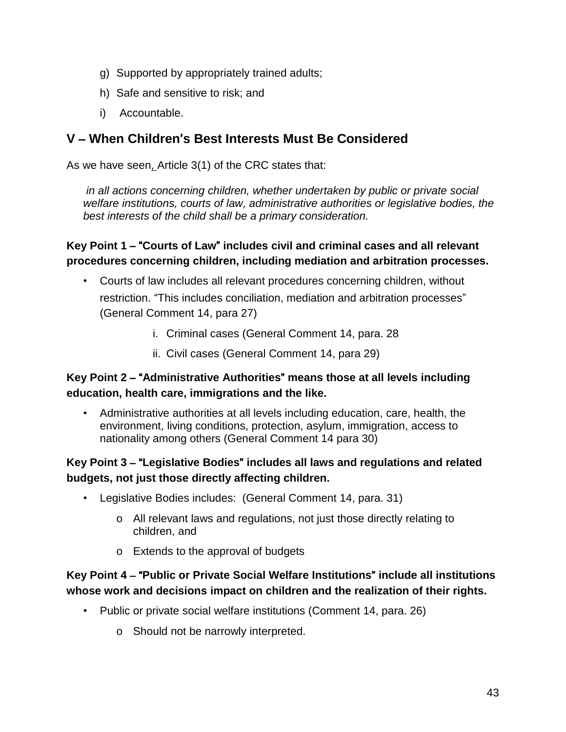- g) Supported by appropriately trained adults;
- h) Safe and sensitive to risk; and
- i) Accountable.

# **V** – **When Children**'**s Best Interests Must Be Considered**

As we have seen, Article 3(1) of the CRC states that:

*in all actions concerning children, whether undertaken by public or private social welfare institutions, courts of law, administrative authorities or legislative bodies, the best interests of the child shall be a primary consideration.* 

#### **Key Point 1** – "**Courts of Law**" **includes civil and criminal cases and all relevant procedures concerning children, including mediation and arbitration processes.**

- Courts of law includes all relevant procedures concerning children, without restriction. "This includes conciliation, mediation and arbitration processes" (General Comment 14, para 27)
	- i. Criminal cases (General Comment 14, para. 28
	- ii. Civil cases (General Comment 14, para 29)

#### **Key Point 2** – "**Administrative Authorities**" **means those at all levels including education, health care, immigrations and the like.**

• Administrative authorities at all levels including education, care, health, the environment, living conditions, protection, asylum, immigration, access to nationality among others (General Comment 14 para 30)

## **Key Point 3** – "**Legislative Bodies**" **includes all laws and regulations and related budgets, not just those directly affecting children.**

- Legislative Bodies includes: (General Comment 14, para. 31)
	- o All relevant laws and regulations, not just those directly relating to children, and
	- o Extends to the approval of budgets

## **Key Point 4** – "**Public or Private Social Welfare Institutions**" **include all institutions whose work and decisions impact on children and the realization of their rights.**

- Public or private social welfare institutions (Comment 14, para. 26)
	- o Should not be narrowly interpreted.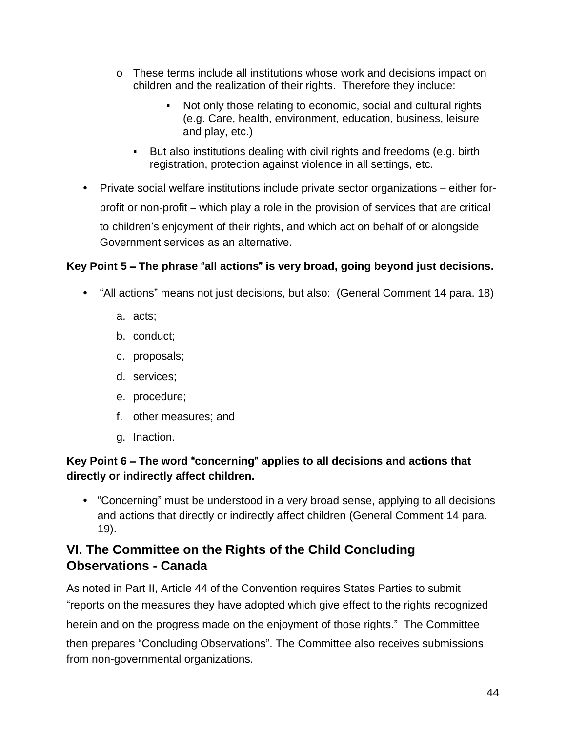- o These terms include all institutions whose work and decisions impact on children and the realization of their rights. Therefore they include:
	- Not only those relating to economic, social and cultural rights (e.g. Care, health, environment, education, business, leisure and play, etc.)
	- But also institutions dealing with civil rights and freedoms (e.g. birth registration, protection against violence in all settings, etc.
- **•** Private social welfare institutions include private sector organizations either forprofit or non-profit – which play a role in the provision of services that are critical to children's enjoyment of their rights, and which act on behalf of or alongside Government services as an alternative.

## **Key Point 5** – **The phrase** "**all actions**" **is very broad, going beyond just decisions.**

- **•** "All actions" means not just decisions, but also: (General Comment 14 para. 18)
	- a. acts;
	- b. conduct;
	- c. proposals;
	- d. services;
	- e. procedure;
	- f. other measures; and
	- g. Inaction.

# **Key Point 6** – **The word** "**concerning**" **applies to all decisions and actions that directly or indirectly affect children.**

**•** "Concerning" must be understood in a very broad sense, applying to all decisions and actions that directly or indirectly affect children (General Comment 14 para. 19).

# **VI. The Committee on the Rights of the Child Concluding Observations - Canada**

As noted in Part II, Article 44 of the Convention requires States Parties to submit "reports on the measures they have adopted which give effect to the rights recognized herein and on the progress made on the enjoyment of those rights."The Committee then prepares "Concluding Observations". The Committee also receives submissions from non-governmental organizations.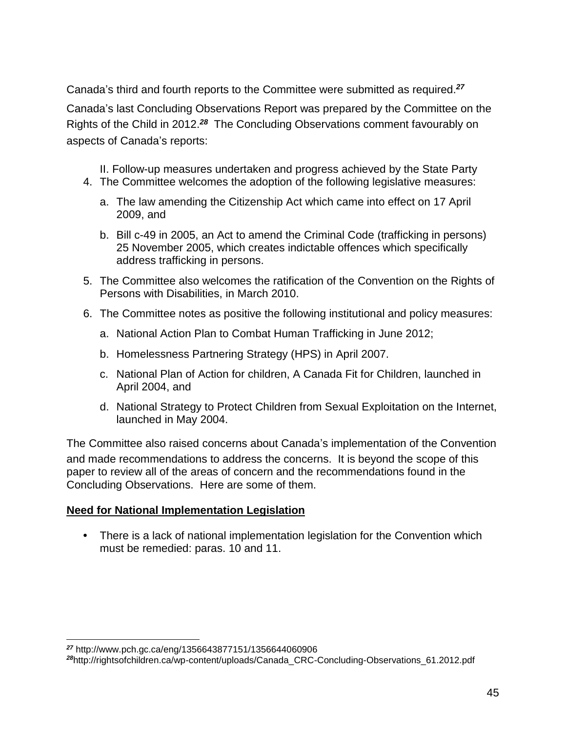Canada's third and fourth reports to the Committee were submitted as required.*<sup>27</sup>*

Canada's last Concluding Observations Report was prepared by the Committee on the Rights of the Child in 2012.*<sup>28</sup>* The Concluding Observations comment favourably on aspects of Canada's reports:

II. Follow-up measures undertaken and progress achieved by the State Party 4. The Committee welcomes the adoption of the following legislative measures:

- a. The law amending the Citizenship Act which came into effect on 17 April 2009, and
- b. Bill c-49 in 2005, an Act to amend the Criminal Code (trafficking in persons) 25 November 2005, which creates indictable offences which specifically address trafficking in persons.
- 5. The Committee also welcomes the ratification of the Convention on the Rights of Persons with Disabilities, in March 2010.
- 6. The Committee notes as positive the following institutional and policy measures:
	- a. National Action Plan to Combat Human Trafficking in June 2012;
	- b. Homelessness Partnering Strategy (HPS) in April 2007.
	- c. National Plan of Action for children, A Canada Fit for Children, launched in April 2004, and
	- d. National Strategy to Protect Children from Sexual Exploitation on the Internet, launched in May 2004.

The Committee also raised concerns about Canada's implementation of the Convention and made recommendations to address the concerns. It is beyond the scope of this paper to review all of the areas of concern and the recommendations found in the Concluding Observations. Here are some of them.

#### **Need for National Implementation Legislation**

**•** There is a lack of national implementation legislation for the Convention which must be remedied: paras. 10 and 11.

 $\overline{a}$ *<sup>27</sup>* http://www.pch.gc.ca/eng/1356643877151/1356644060906

*<sup>28</sup>*http://rightsofchildren.ca/wp-content/uploads/Canada\_CRC-Concluding-Observations\_61.2012.pdf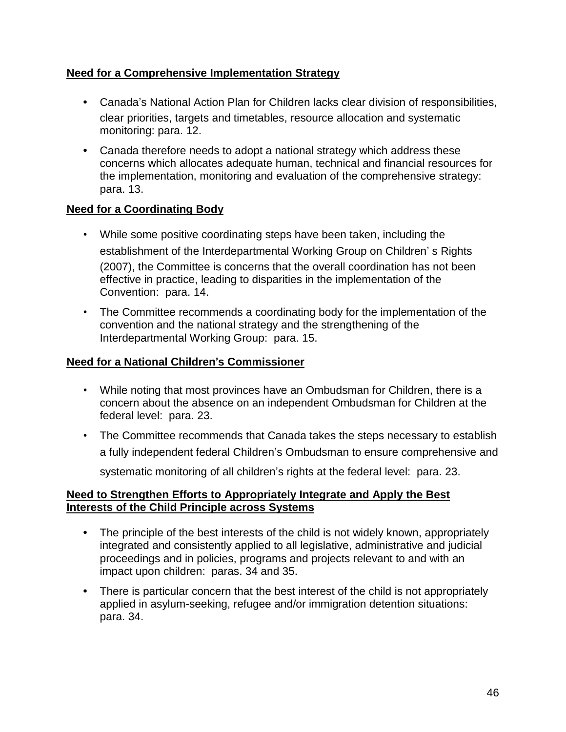#### **Need for a Comprehensive Implementation Strategy**

- **•** Canada's National Action Plan for Children lacks clear division of responsibilities, clear priorities, targets and timetables, resource allocation and systematic monitoring: para. 12.
- **•** Canada therefore needs to adopt a national strategy which address these concerns which allocates adequate human, technical and financial resources for the implementation, monitoring and evaluation of the comprehensive strategy: para. 13.

#### **Need for a Coordinating Body**

- While some positive coordinating steps have been taken, including the establishment of the Interdepartmental Working Group on Children' s Rights (2007), the Committee is concerns that the overall coordination has not been effective in practice, leading to disparities in the implementation of the Convention: para. 14.
- The Committee recommends a coordinating body for the implementation of the convention and the national strategy and the strengthening of the Interdepartmental Working Group: para. 15.

#### **Need for a National Children**'**s Commissioner**

- While noting that most provinces have an Ombudsman for Children, there is a concern about the absence on an independent Ombudsman for Children at the federal level: para. 23.
- The Committee recommends that Canada takes the steps necessary to establish a fully independent federal Children's Ombudsman to ensure comprehensive and systematic monitoring of all children's rights at the federal level: para. 23.

#### **Need to Strengthen Efforts to Appropriately Integrate and Apply the Best Interests of the Child Principle across Systems**

- **•** The principle of the best interests of the child is not widely known, appropriately integrated and consistently applied to all legislative, administrative and judicial proceedings and in policies, programs and projects relevant to and with an impact upon children: paras. 34 and 35.
- **•** There is particular concern that the best interest of the child is not appropriately applied in asylum-seeking, refugee and/or immigration detention situations: para. 34.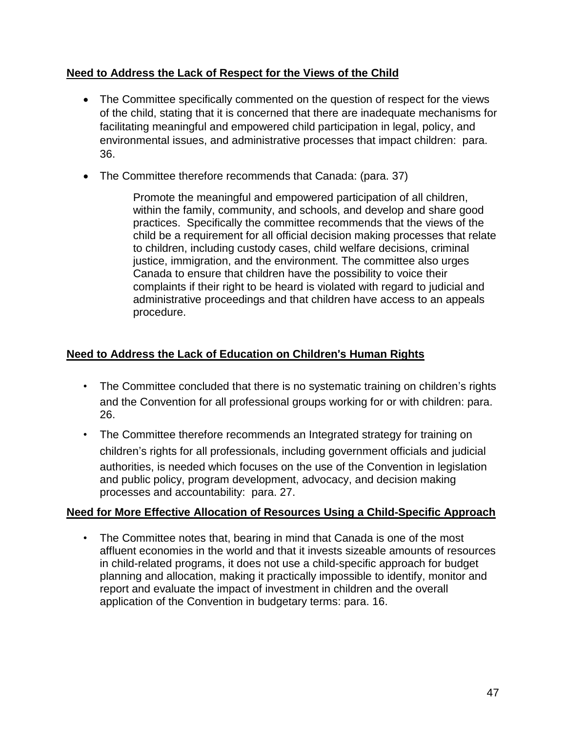#### **Need to Address the Lack of Respect for the Views of the Child**

- The Committee specifically commented on the question of respect for the views of the child, stating that it is concerned that there are inadequate mechanisms for facilitating meaningful and empowered child participation in legal, policy, and environmental issues, and administrative processes that impact children: para. 36.
- The Committee therefore recommends that Canada: (para. 37)

Promote the meaningful and empowered participation of all children, within the family, community, and schools, and develop and share good practices. Specifically the committee recommends that the views of the child be a requirement for all official decision making processes that relate to children, including custody cases, child welfare decisions, criminal justice, immigration, and the environment. The committee also urges Canada to ensure that children have the possibility to voice their complaints if their right to be heard is violated with regard to judicial and administrative proceedings and that children have access to an appeals procedure.

#### **Need to Address the Lack of Education on Children**'**s Human Rights**

- The Committee concluded that there is no systematic training on children's rights and the Convention for all professional groups working for or with children: para. 26.
- The Committee therefore recommends an Integrated strategy for training on children's rights for all professionals, including government officials and judicial authorities, is needed which focuses on the use of the Convention in legislation and public policy, program development, advocacy, and decision making processes and accountability: para. 27.

#### **Need for More Effective Allocation of Resources Using a Child-Specific Approach**

• The Committee notes that, bearing in mind that Canada is one of the most affluent economies in the world and that it invests sizeable amounts of resources in child-related programs, it does not use a child-specific approach for budget planning and allocation, making it practically impossible to identify, monitor and report and evaluate the impact of investment in children and the overall application of the Convention in budgetary terms: para. 16.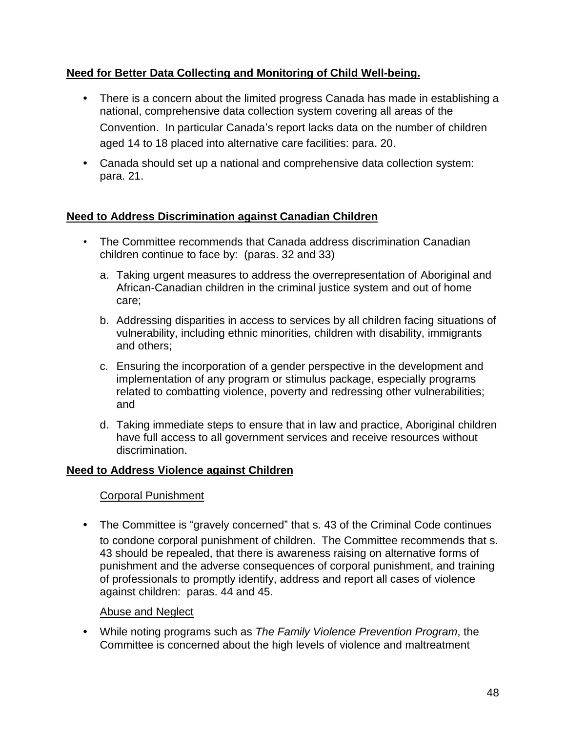#### **Need for Better Data Collecting and Monitoring of Child Well-being.**

- **•** There is a concern about the limited progress Canada has made in establishing a national, comprehensive data collection system covering all areas of the Convention. In particular Canada's report lacks data on the number of children aged 14 to 18 placed into alternative care facilities: para. 20.
- **•** Canada should set up a national and comprehensive data collection system: para. 21.

#### **Need to Address Discrimination against Canadian Children**

- The Committee recommends that Canada address discrimination Canadian children continue to face by: (paras. 32 and 33)
	- a. Taking urgent measures to address the overrepresentation of Aboriginal and African-Canadian children in the criminal justice system and out of home care;
	- b. Addressing disparities in access to services by all children facing situations of vulnerability, including ethnic minorities, children with disability, immigrants and others;
	- c. Ensuring the incorporation of a gender perspective in the development and implementation of any program or stimulus package, especially programs related to combatting violence, poverty and redressing other vulnerabilities; and
	- d. Taking immediate steps to ensure that in law and practice, Aboriginal children have full access to all government services and receive resources without discrimination.

#### **Need to Address Violence against Children**

#### Corporal Punishment

**•** The Committee is "gravely concerned" that s. 43 of the Criminal Code continues to condone corporal punishment of children. The Committee recommends that s. 43 should be repealed, that there is awareness raising on alternative forms of punishment and the adverse consequences of corporal punishment, and training of professionals to promptly identify, address and report all cases of violence against children: paras. 44 and 45.

#### Abuse and Neglect

**•** While noting programs such as *The Family Violence Prevention Program*, the Committee is concerned about the high levels of violence and maltreatment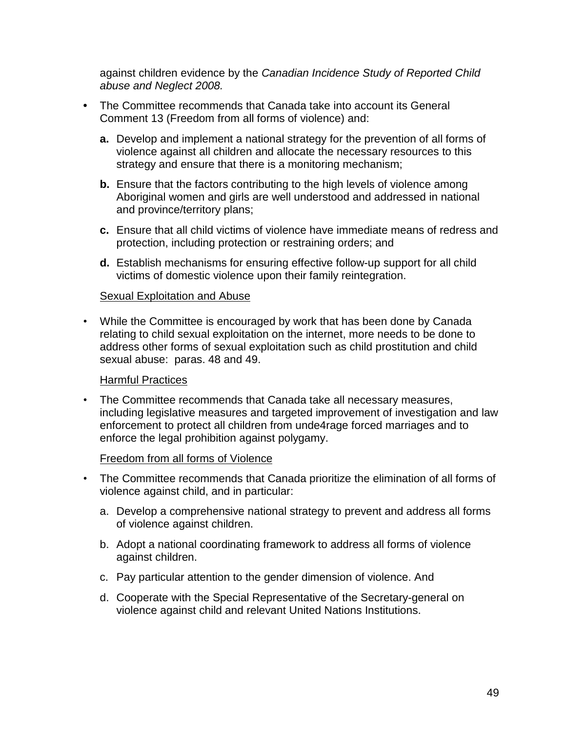against children evidence by the *Canadian Incidence Study of Reported Child abuse and Neglect 2008.* 

- **•** The Committee recommends that Canada take into account its General Comment 13 (Freedom from all forms of violence) and:
	- **a.** Develop and implement a national strategy for the prevention of all forms of violence against all children and allocate the necessary resources to this strategy and ensure that there is a monitoring mechanism;
	- **b.** Ensure that the factors contributing to the high levels of violence among Aboriginal women and girls are well understood and addressed in national and province/territory plans;
	- **c.** Ensure that all child victims of violence have immediate means of redress and protection, including protection or restraining orders; and
	- **d.** Establish mechanisms for ensuring effective follow-up support for all child victims of domestic violence upon their family reintegration.

#### Sexual Exploitation and Abuse

• While the Committee is encouraged by work that has been done by Canada relating to child sexual exploitation on the internet, more needs to be done to address other forms of sexual exploitation such as child prostitution and child sexual abuse: paras. 48 and 49.

#### Harmful Practices

• The Committee recommends that Canada take all necessary measures, including legislative measures and targeted improvement of investigation and law enforcement to protect all children from unde4rage forced marriages and to enforce the legal prohibition against polygamy.

#### Freedom from all forms of Violence

- The Committee recommends that Canada prioritize the elimination of all forms of violence against child, and in particular:
	- a. Develop a comprehensive national strategy to prevent and address all forms of violence against children.
	- b. Adopt a national coordinating framework to address all forms of violence against children.
	- c. Pay particular attention to the gender dimension of violence. And
	- d. Cooperate with the Special Representative of the Secretary-general on violence against child and relevant United Nations Institutions.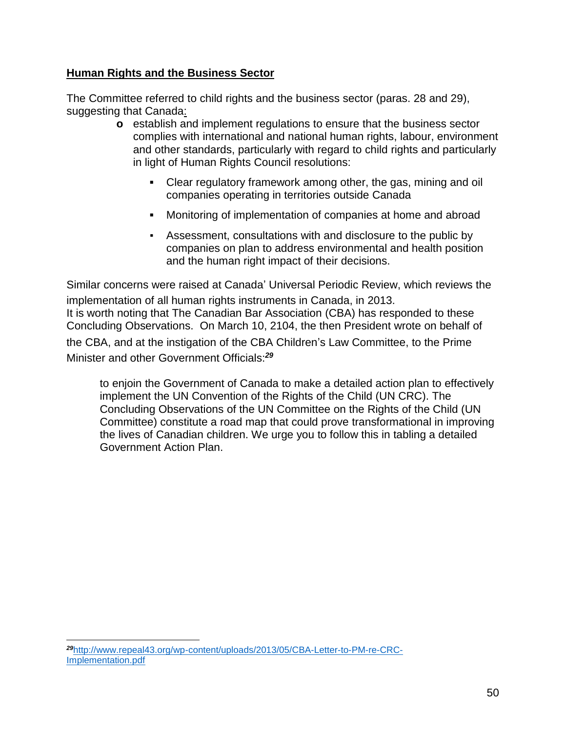#### **Human Rights and the Business Sector**

The Committee referred to child rights and the business sector (paras. 28 and 29), suggesting that Canada:

- **o** establish and implement regulations to ensure that the business sector complies with international and national human rights, labour, environment and other standards, particularly with regard to child rights and particularly in light of Human Rights Council resolutions:
	- **▪** Clear regulatory framework among other, the gas, mining and oil companies operating in territories outside Canada
	- **▪** Monitoring of implementation of companies at home and abroad
	- Assessment, consultations with and disclosure to the public by companies on plan to address environmental and health position and the human right impact of their decisions.

Similar concerns were raised at Canada' Universal Periodic Review, which reviews the implementation of all human rights instruments in Canada, in 2013. It is worth noting that The Canadian Bar Association (CBA) has responded to these Concluding Observations. On March 10, 2104, the then President wrote on behalf of the CBA, and at the instigation of the CBA Children's Law Committee, to the Prime Minister and other Government Officials:*<sup>29</sup>*

to enjoin the Government of Canada to make a detailed action plan to effectively implement the UN Convention of the Rights of the Child (UN CRC). The Concluding Observations of the UN Committee on the Rights of the Child (UN Committee) constitute a road map that could prove transformational in improving the lives of Canadian children. We urge you to follow this in tabling a detailed Government Action Plan.

*<sup>29</sup>*[http://www.repeal43.org/wp-content/uploads/2013/05/CBA-Letter-to-PM-re-CRC-](http://www.repeal43.org/wp-content/uploads/2013/05/CBA-Letter-to-PM-re-CRC-Implementation.pdf)[Implementation.pdf](http://www.repeal43.org/wp-content/uploads/2013/05/CBA-Letter-to-PM-re-CRC-Implementation.pdf)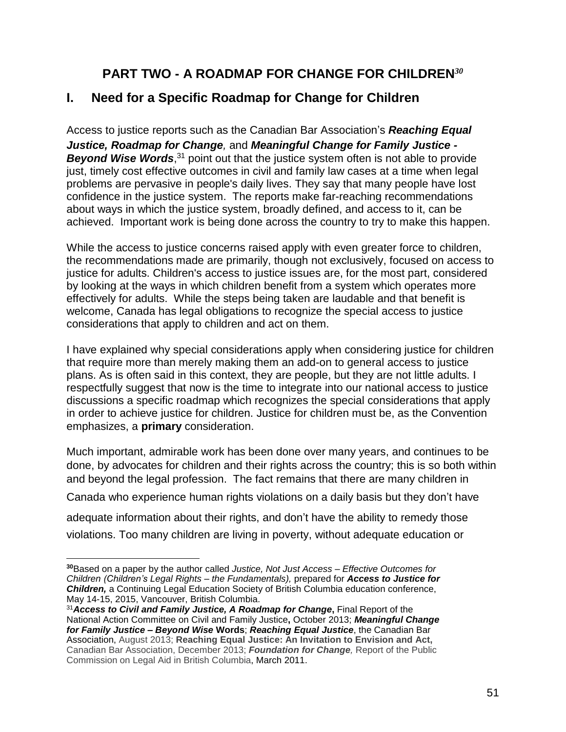# **PART TWO - A ROADMAP FOR CHANGE FOR CHILDREN***<sup>30</sup>*

# **I. Need for a Specific Roadmap for Change for Children**

Access to justice reports such as the Canadian Bar Association's *Reaching Equal Justice, Roadmap for Change,* and *Meaningful Change for Family Justice -* **Beyond Wise Words**,<sup>31</sup> point out that the justice system often is not able to provide just, timely cost effective outcomes in civil and family law cases at a time when legal problems are pervasive in people's daily lives. They say that many people have lost confidence in the justice system. The reports make far-reaching recommendations about ways in which the justice system, broadly defined, and access to it, can be achieved. Important work is being done across the country to try to make this happen.

While the access to justice concerns raised apply with even greater force to children, the recommendations made are primarily, though not exclusively, focused on access to justice for adults. Children's access to justice issues are, for the most part, considered by looking at the ways in which children benefit from a system which operates more effectively for adults. While the steps being taken are laudable and that benefit is welcome, Canada has legal obligations to recognize the special access to justice considerations that apply to children and act on them.

I have explained why special considerations apply when considering justice for children that require more than merely making them an add-on to general access to justice plans. As is often said in this context, they are people, but they are not little adults. I respectfully suggest that now is the time to integrate into our national access to justice discussions a specific roadmap which recognizes the special considerations that apply in order to achieve justice for children. Justice for children must be, as the Convention emphasizes, a **primary** consideration.

Much important, admirable work has been done over many years, and continues to be done, by advocates for children and their rights across the country; this is so both within and beyond the legal profession. The fact remains that there are many children in Canada who experience human rights violations on a daily basis but they don't have

adequate information about their rights, and don't have the ability to remedy those violations. Too many children are living in poverty, without adequate education or

 $\overline{a}$ **<sup>30</sup>**Based on a paper by the author called *Justice, Not Just Access – Effective Outcomes for Children (Children's Legal Rights – the Fundamentals),* prepared for *Access to Justice for Children,* a Continuing Legal Education Society of British Columbia education conference, May 14-15, 2015, Vancouver, British Columbia.

<sup>31</sup>*Access to Civil and Family Justice, A Roadmap for Change***,** Final Report of the National Action Committee on Civil and Family Justice**,** October 2013; *Meaningful Change for Family Justice – Beyond Wise* **Words**; *Reaching Equal Justice*, the Canadian Bar Association, August 2013; **Reaching Equal Justice: An Invitation to Envision and Act,** Canadian Bar Association, December 2013; *Foundation for Change,* Report of the Public Commission on Legal Aid in British Columbia, March 2011.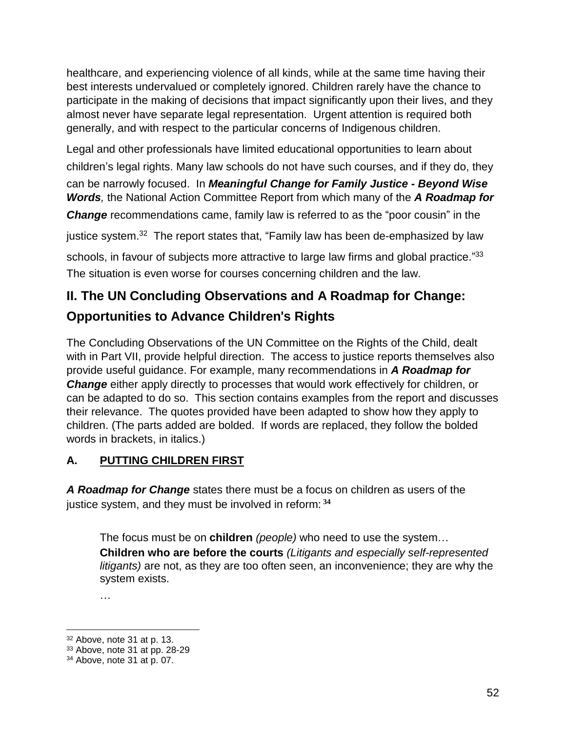healthcare, and experiencing violence of all kinds, while at the same time having their best interests undervalued or completely ignored. Children rarely have the chance to participate in the making of decisions that impact significantly upon their lives, and they almost never have separate legal representation. Urgent attention is required both generally, and with respect to the particular concerns of Indigenous children.

Legal and other professionals have limited educational opportunities to learn about children's legal rights. Many law schools do not have such courses, and if they do, they

can be narrowly focused. In *Meaningful Change for Family Justice - Beyond Wise Words,* the National Action Committee Report from which many of the *A Roadmap for*

*Change* recommendations came, family law is referred to as the "poor cousin" in the

justice system.<sup>32</sup> The report states that, "Family law has been de-emphasized by law

schools, in favour of subjects more attractive to large law firms and global practice."33 The situation is even worse for courses concerning children and the law.

# **II. The UN Concluding Observations and A Roadmap for Change: Opportunities to Advance Children**'**s Rights**

The Concluding Observations of the UN Committee on the Rights of the Child, dealt with in Part VII, provide helpful direction. The access to justice reports themselves also provide useful guidance. For example, many recommendations in *A Roadmap for* **Change** either apply directly to processes that would work effectively for children, or can be adapted to do so. This section contains examples from the report and discusses their relevance. The quotes provided have been adapted to show how they apply to children. (The parts added are bolded. If words are replaced, they follow the bolded words in brackets, in italics.)

# **A. PUTTING CHILDREN FIRST**

*A Roadmap for Change* states there must be a focus on children as users of the justice system, and they must be involved in reform: **<sup>34</sup>**

The focus must be on **children** *(people)* who need to use the system… **Children who are before the courts** *(Litigants and especially self-represented litigants)* are not, as they are too often seen, an inconvenience; they are why the system exists.

…

 $\overline{a}$ <sup>32</sup> Above, note 31 at p. 13.

<sup>33</sup> Above, note 31 at pp. 28-29

<sup>34</sup> Above, note 31 at p. 07.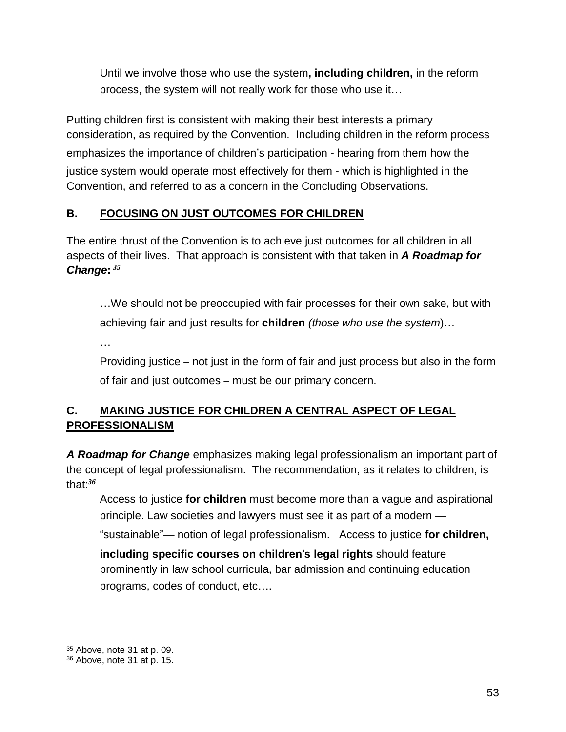Until we involve those who use the system**, including children,** in the reform process, the system will not really work for those who use it…

Putting children first is consistent with making their best interests a primary consideration, as required by the Convention. Including children in the reform process emphasizes the importance of children's participation - hearing from them how the justice system would operate most effectively for them - which is highlighted in the Convention, and referred to as a concern in the Concluding Observations.

## **B. FOCUSING ON JUST OUTCOMES FOR CHILDREN**

The entire thrust of the Convention is to achieve just outcomes for all children in all aspects of their lives. That approach is consistent with that taken in *A Roadmap for Change***:** *35*

…We should not be preoccupied with fair processes for their own sake, but with achieving fair and just results for **children** *(those who use the system*)…

…

Providing justice – not just in the form of fair and just process but also in the form of fair and just outcomes – must be our primary concern.

# **C. MAKING JUSTICE FOR CHILDREN A CENTRAL ASPECT OF LEGAL PROFESSIONALISM**

*A Roadmap for Change* emphasizes making legal professionalism an important part of the concept of legal professionalism. The recommendation, as it relates to children, is that:*<sup>36</sup>*

Access to justice **for children** must become more than a vague and aspirational principle. Law societies and lawyers must see it as part of a modern —

"sustainable"— notion of legal professionalism. Access to justice **for children,**

**including specific courses on children**'**s legal rights** should feature prominently in law school curricula, bar admission and continuing education programs, codes of conduct, etc….

<sup>&</sup>lt;sup>35</sup> Above, note 31 at p. 09.

<sup>36</sup> Above, note 31 at p. 15.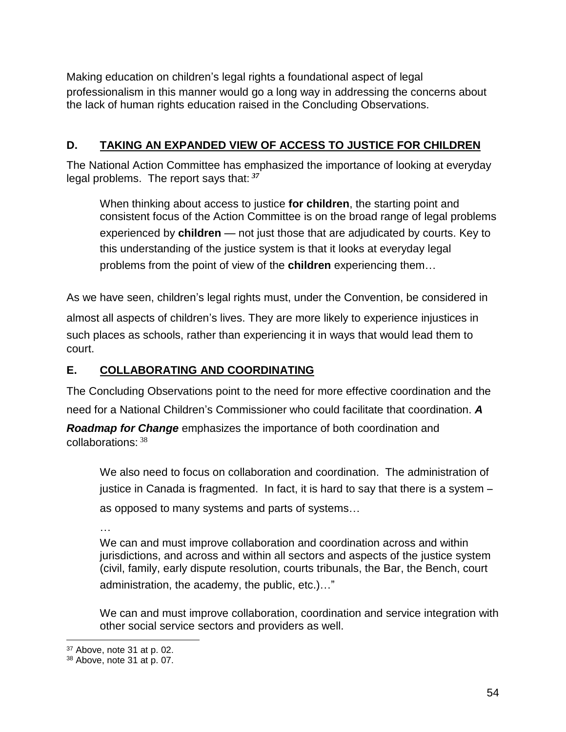Making education on children's legal rights a foundational aspect of legal professionalism in this manner would go a long way in addressing the concerns about the lack of human rights education raised in the Concluding Observations.

#### **D. TAKING AN EXPANDED VIEW OF ACCESS TO JUSTICE FOR CHILDREN**

The National Action Committee has emphasized the importance of looking at everyday legal problems. The report says that: *<sup>37</sup>*

When thinking about access to justice **for children**, the starting point and consistent focus of the Action Committee is on the broad range of legal problems experienced by **children** — not just those that are adjudicated by courts. Key to this understanding of the justice system is that it looks at everyday legal problems from the point of view of the **children** experiencing them…

As we have seen, children's legal rights must, under the Convention, be considered in

almost all aspects of children's lives. They are more likely to experience injustices in such places as schools, rather than experiencing it in ways that would lead them to court.

#### **E. COLLABORATING AND COORDINATING**

The Concluding Observations point to the need for more effective coordination and the need for a National Children's Commissioner who could facilitate that coordination. *A Roadmap for Change* emphasizes the importance of both coordination and collaborations: <sup>38</sup>

We also need to focus on collaboration and coordination. The administration of justice in Canada is fragmented. In fact, it is hard to say that there is a system – as opposed to many systems and parts of systems…

…

We can and must improve collaboration and coordination across and within jurisdictions, and across and within all sectors and aspects of the justice system (civil, family, early dispute resolution, courts tribunals, the Bar, the Bench, court administration, the academy, the public, etc.)…"

We can and must improve collaboration, coordination and service integration with other social service sectors and providers as well.

<sup>37</sup> Above, note 31 at p. 02.

<sup>38</sup> Above, note 31 at p. 07.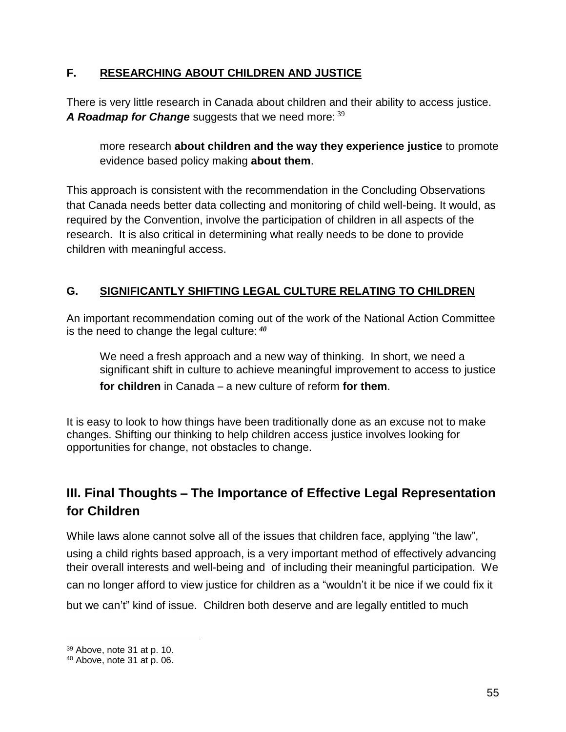#### **F. RESEARCHING ABOUT CHILDREN AND JUSTICE**

There is very little research in Canada about children and their ability to access justice. *A Roadmap for Change* suggests that we need more: <sup>39</sup>

more research **about children and the way they experience justice** to promote evidence based policy making **about them**.

This approach is consistent with the recommendation in the Concluding Observations that Canada needs better data collecting and monitoring of child well-being. It would, as required by the Convention, involve the participation of children in all aspects of the research. It is also critical in determining what really needs to be done to provide children with meaningful access.

# **G. SIGNIFICANTLY SHIFTING LEGAL CULTURE RELATING TO CHILDREN**

An important recommendation coming out of the work of the National Action Committee is the need to change the legal culture: *<sup>40</sup>*

We need a fresh approach and a new way of thinking. In short, we need a significant shift in culture to achieve meaningful improvement to access to justice **for children** in Canada – a new culture of reform **for them**.

It is easy to look to how things have been traditionally done as an excuse not to make changes. Shifting our thinking to help children access justice involves looking for opportunities for change, not obstacles to change.

# **III. Final Thoughts** – **The Importance of Effective Legal Representation for Children**

While laws alone cannot solve all of the issues that children face, applying "the law", using a child rights based approach, is a very important method of effectively advancing their overall interests and well-being and of including their meaningful participation. We can no longer afford to view justice for children as a "wouldn't it be nice if we could fix it but we can't" kind of issue. Children both deserve and are legally entitled to much

<sup>39</sup> Above, note 31 at p. 10.

<sup>40</sup> Above, note 31 at p. 06.